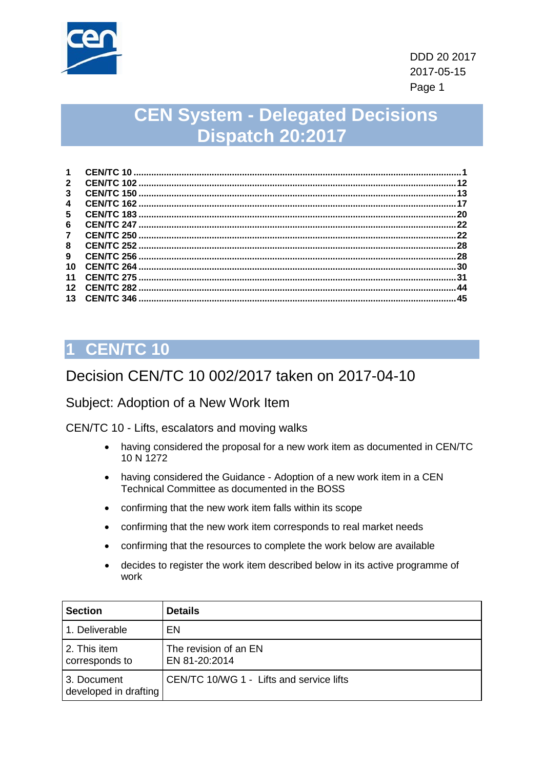

# **CEN System - Delegated Decisions Dispatch 20:2017**

| $\mathbf 1$     |     |
|-----------------|-----|
| $\mathbf{2}$    | 12  |
| 3               | 13  |
| 4               | 17  |
| 5               | 20  |
| 6               | 22  |
| $\mathbf{7}$    | 22  |
| 8               | 28  |
| 9               | 28  |
| 10              | 30  |
| 11              | .31 |
| 12 <sup>2</sup> | 44  |
| 13              | 45  |

# <span id="page-0-0"></span>**1 CEN/TC 10**

## Decision CEN/TC 10 002/2017 taken on 2017-04-10

#### Subject: Adoption of a New Work Item

CEN/TC 10 - Lifts, escalators and moving walks

- having considered the proposal for a new work item as documented in CEN/TC 10 N 1272
- having considered the Guidance Adoption of a new work item in a CEN Technical Committee as documented in the BOSS
- confirming that the new work item falls within its scope
- confirming that the new work item corresponds to real market needs
- confirming that the resources to complete the work below are available
- decides to register the work item described below in its active programme of work

| <b>Section</b>                       | <b>Details</b>                           |
|--------------------------------------|------------------------------------------|
| 1. Deliverable                       | EN                                       |
| 2. This item<br>corresponds to       | The revision of an EN<br>EN 81-20:2014   |
| 3. Document<br>developed in drafting | CEN/TC 10/WG 1 - Lifts and service lifts |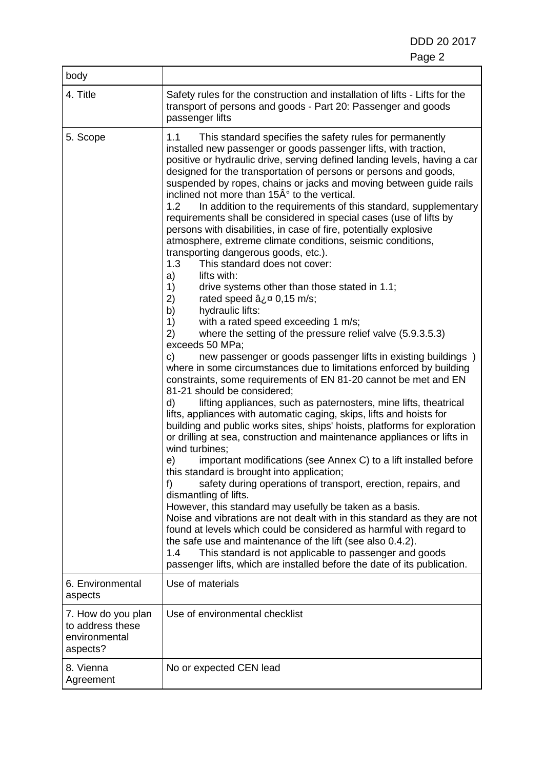| body                                                                |                                                                                                                                                                                                                                                                                                                                                                                                                                                                                                                                                                                                                                                                                                                                                                                                                                                                                                                                                                                                                                                                                                                                                                                                                                                                                                                                                                                                                                                                                                                                                                                                                                                                                                                                                                                                                                                                                                                                                                                                                                                                                                                                                                                                                                                                                                          |
|---------------------------------------------------------------------|----------------------------------------------------------------------------------------------------------------------------------------------------------------------------------------------------------------------------------------------------------------------------------------------------------------------------------------------------------------------------------------------------------------------------------------------------------------------------------------------------------------------------------------------------------------------------------------------------------------------------------------------------------------------------------------------------------------------------------------------------------------------------------------------------------------------------------------------------------------------------------------------------------------------------------------------------------------------------------------------------------------------------------------------------------------------------------------------------------------------------------------------------------------------------------------------------------------------------------------------------------------------------------------------------------------------------------------------------------------------------------------------------------------------------------------------------------------------------------------------------------------------------------------------------------------------------------------------------------------------------------------------------------------------------------------------------------------------------------------------------------------------------------------------------------------------------------------------------------------------------------------------------------------------------------------------------------------------------------------------------------------------------------------------------------------------------------------------------------------------------------------------------------------------------------------------------------------------------------------------------------------------------------------------------------|
| 4. Title                                                            | Safety rules for the construction and installation of lifts - Lifts for the<br>transport of persons and goods - Part 20: Passenger and goods<br>passenger lifts                                                                                                                                                                                                                                                                                                                                                                                                                                                                                                                                                                                                                                                                                                                                                                                                                                                                                                                                                                                                                                                                                                                                                                                                                                                                                                                                                                                                                                                                                                                                                                                                                                                                                                                                                                                                                                                                                                                                                                                                                                                                                                                                          |
| 5. Scope                                                            | 1.1<br>This standard specifies the safety rules for permanently<br>installed new passenger or goods passenger lifts, with traction,<br>positive or hydraulic drive, serving defined landing levels, having a car<br>designed for the transportation of persons or persons and goods,<br>suspended by ropes, chains or jacks and moving between guide rails<br>inclined not more than 15° to the vertical.<br>In addition to the requirements of this standard, supplementary<br>1.2<br>requirements shall be considered in special cases (use of lifts by<br>persons with disabilities, in case of fire, potentially explosive<br>atmosphere, extreme climate conditions, seismic conditions,<br>transporting dangerous goods, etc.).<br>1.3<br>This standard does not cover:<br>a)<br>lifts with:<br>1)<br>drive systems other than those stated in 1.1;<br>2)<br>rated speed $a_i$ <sup>¤</sup> 0,15 m/s;<br>hydraulic lifts:<br>b)<br>with a rated speed exceeding 1 m/s;<br>1)<br>where the setting of the pressure relief valve (5.9.3.5.3)<br>2)<br>exceeds 50 MPa;<br>new passenger or goods passenger lifts in existing buildings )<br>C)<br>where in some circumstances due to limitations enforced by building<br>constraints, some requirements of EN 81-20 cannot be met and EN<br>81-21 should be considered;<br>lifting appliances, such as paternosters, mine lifts, theatrical<br>d)<br>lifts, appliances with automatic caging, skips, lifts and hoists for<br>building and public works sites, ships' hoists, platforms for exploration<br>or drilling at sea, construction and maintenance appliances or lifts in<br>wind turbines;<br>important modifications (see Annex C) to a lift installed before<br>e)<br>this standard is brought into application;<br>f)<br>safety during operations of transport, erection, repairs, and<br>dismantling of lifts.<br>However, this standard may usefully be taken as a basis.<br>Noise and vibrations are not dealt with in this standard as they are not<br>found at levels which could be considered as harmful with regard to<br>the safe use and maintenance of the lift (see also 0.4.2).<br>This standard is not applicable to passenger and goods<br>1.4<br>passenger lifts, which are installed before the date of its publication. |
| 6. Environmental<br>aspects                                         | Use of materials                                                                                                                                                                                                                                                                                                                                                                                                                                                                                                                                                                                                                                                                                                                                                                                                                                                                                                                                                                                                                                                                                                                                                                                                                                                                                                                                                                                                                                                                                                                                                                                                                                                                                                                                                                                                                                                                                                                                                                                                                                                                                                                                                                                                                                                                                         |
| 7. How do you plan<br>to address these<br>environmental<br>aspects? | Use of environmental checklist                                                                                                                                                                                                                                                                                                                                                                                                                                                                                                                                                                                                                                                                                                                                                                                                                                                                                                                                                                                                                                                                                                                                                                                                                                                                                                                                                                                                                                                                                                                                                                                                                                                                                                                                                                                                                                                                                                                                                                                                                                                                                                                                                                                                                                                                           |
| 8. Vienna<br>Agreement                                              | No or expected CEN lead                                                                                                                                                                                                                                                                                                                                                                                                                                                                                                                                                                                                                                                                                                                                                                                                                                                                                                                                                                                                                                                                                                                                                                                                                                                                                                                                                                                                                                                                                                                                                                                                                                                                                                                                                                                                                                                                                                                                                                                                                                                                                                                                                                                                                                                                                  |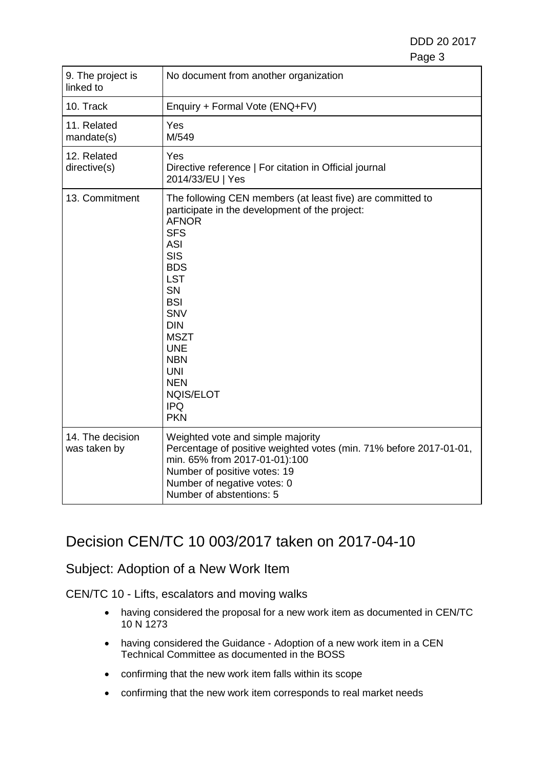| 9. The project is<br>linked to   | No document from another organization                                                                                                                                                                                                                                                                                                                                            |  |
|----------------------------------|----------------------------------------------------------------------------------------------------------------------------------------------------------------------------------------------------------------------------------------------------------------------------------------------------------------------------------------------------------------------------------|--|
| 10. Track                        | Enquiry + Formal Vote (ENQ+FV)                                                                                                                                                                                                                                                                                                                                                   |  |
| 11. Related<br>mandate(s)        | Yes<br>M/549                                                                                                                                                                                                                                                                                                                                                                     |  |
| 12. Related<br>directive(s)      | Yes<br>Directive reference   For citation in Official journal<br>2014/33/EU   Yes                                                                                                                                                                                                                                                                                                |  |
| 13. Commitment                   | The following CEN members (at least five) are committed to<br>participate in the development of the project:<br><b>AFNOR</b><br><b>SFS</b><br><b>ASI</b><br><b>SIS</b><br><b>BDS</b><br><b>LST</b><br><b>SN</b><br><b>BSI</b><br><b>SNV</b><br><b>DIN</b><br><b>MSZT</b><br><b>UNE</b><br><b>NBN</b><br><b>UNI</b><br><b>NEN</b><br><b>NQIS/ELOT</b><br><b>IPQ</b><br><b>PKN</b> |  |
| 14. The decision<br>was taken by | Weighted vote and simple majority<br>Percentage of positive weighted votes (min. 71% before 2017-01-01,<br>min. 65% from 2017-01-01):100<br>Number of positive votes: 19<br>Number of negative votes: 0<br>Number of abstentions: 5                                                                                                                                              |  |

## Decision CEN/TC 10 003/2017 taken on 2017-04-10

### Subject: Adoption of a New Work Item

CEN/TC 10 - Lifts, escalators and moving walks

- having considered the proposal for a new work item as documented in CEN/TC 10 N 1273
- having considered the Guidance Adoption of a new work item in a CEN Technical Committee as documented in the BOSS
- confirming that the new work item falls within its scope
- confirming that the new work item corresponds to real market needs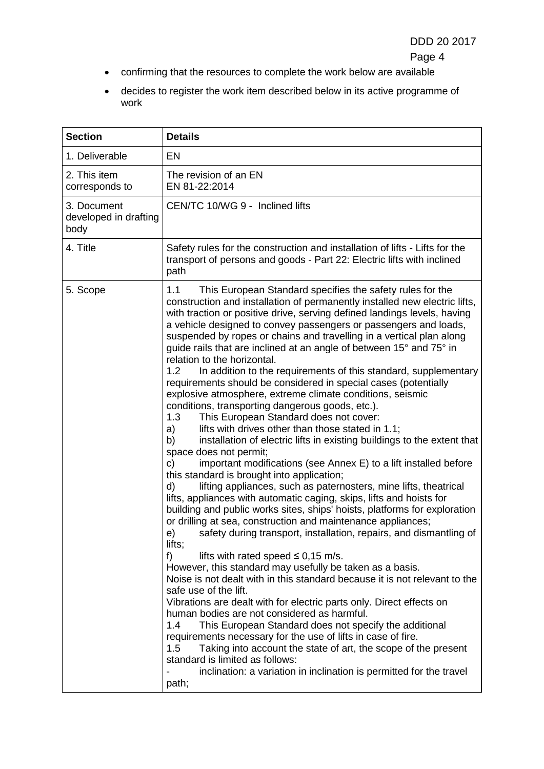- confirming that the resources to complete the work below are available
- decides to register the work item described below in its active programme of work

| <b>Section</b>                               | <b>Details</b>                                                                                                                                                                                                                                                                                                                                                                                                                                                                                                                                                                                                                                                                                                                                                                                                                                                                                                                                                                                                                                                                                                                                                                                                                                                                                                                                                                                                                                                                                                                                                                                                                                                                                                                                                                                                                                                                                                                                                                                                                                                                                                                                                      |  |
|----------------------------------------------|---------------------------------------------------------------------------------------------------------------------------------------------------------------------------------------------------------------------------------------------------------------------------------------------------------------------------------------------------------------------------------------------------------------------------------------------------------------------------------------------------------------------------------------------------------------------------------------------------------------------------------------------------------------------------------------------------------------------------------------------------------------------------------------------------------------------------------------------------------------------------------------------------------------------------------------------------------------------------------------------------------------------------------------------------------------------------------------------------------------------------------------------------------------------------------------------------------------------------------------------------------------------------------------------------------------------------------------------------------------------------------------------------------------------------------------------------------------------------------------------------------------------------------------------------------------------------------------------------------------------------------------------------------------------------------------------------------------------------------------------------------------------------------------------------------------------------------------------------------------------------------------------------------------------------------------------------------------------------------------------------------------------------------------------------------------------------------------------------------------------------------------------------------------------|--|
| 1. Deliverable                               | EN                                                                                                                                                                                                                                                                                                                                                                                                                                                                                                                                                                                                                                                                                                                                                                                                                                                                                                                                                                                                                                                                                                                                                                                                                                                                                                                                                                                                                                                                                                                                                                                                                                                                                                                                                                                                                                                                                                                                                                                                                                                                                                                                                                  |  |
| 2. This item<br>corresponds to               | The revision of an EN<br>EN 81-22:2014                                                                                                                                                                                                                                                                                                                                                                                                                                                                                                                                                                                                                                                                                                                                                                                                                                                                                                                                                                                                                                                                                                                                                                                                                                                                                                                                                                                                                                                                                                                                                                                                                                                                                                                                                                                                                                                                                                                                                                                                                                                                                                                              |  |
| 3. Document<br>developed in drafting<br>body | CEN/TC 10/WG 9 - Inclined lifts                                                                                                                                                                                                                                                                                                                                                                                                                                                                                                                                                                                                                                                                                                                                                                                                                                                                                                                                                                                                                                                                                                                                                                                                                                                                                                                                                                                                                                                                                                                                                                                                                                                                                                                                                                                                                                                                                                                                                                                                                                                                                                                                     |  |
| 4. Title                                     | Safety rules for the construction and installation of lifts - Lifts for the<br>transport of persons and goods - Part 22: Electric lifts with inclined<br>path                                                                                                                                                                                                                                                                                                                                                                                                                                                                                                                                                                                                                                                                                                                                                                                                                                                                                                                                                                                                                                                                                                                                                                                                                                                                                                                                                                                                                                                                                                                                                                                                                                                                                                                                                                                                                                                                                                                                                                                                       |  |
| 5. Scope                                     | This European Standard specifies the safety rules for the<br>1.1<br>construction and installation of permanently installed new electric lifts,<br>with traction or positive drive, serving defined landings levels, having<br>a vehicle designed to convey passengers or passengers and loads,<br>suspended by ropes or chains and travelling in a vertical plan along<br>guide rails that are inclined at an angle of between 15° and 75° in<br>relation to the horizontal.<br>1.2 <sub>1</sub><br>In addition to the requirements of this standard, supplementary<br>requirements should be considered in special cases (potentially<br>explosive atmosphere, extreme climate conditions, seismic<br>conditions, transporting dangerous goods, etc.).<br>1.3<br>This European Standard does not cover:<br>lifts with drives other than those stated in 1.1;<br>a)<br>b)<br>installation of electric lifts in existing buildings to the extent that<br>space does not permit;<br>important modifications (see Annex E) to a lift installed before<br>C)<br>this standard is brought into application;<br>lifting appliances, such as paternosters, mine lifts, theatrical<br>d)<br>lifts, appliances with automatic caging, skips, lifts and hoists for<br>building and public works sites, ships' hoists, platforms for exploration<br>or drilling at sea, construction and maintenance appliances;<br>safety during transport, installation, repairs, and dismantling of<br>e)<br>lifts;<br>f)<br>lifts with rated speed $\leq 0.15$ m/s.<br>However, this standard may usefully be taken as a basis.<br>Noise is not dealt with in this standard because it is not relevant to the<br>safe use of the lift.<br>Vibrations are dealt with for electric parts only. Direct effects on<br>human bodies are not considered as harmful.<br>1.4<br>This European Standard does not specify the additional<br>requirements necessary for the use of lifts in case of fire.<br>Taking into account the state of art, the scope of the present<br>1.5<br>standard is limited as follows:<br>inclination: a variation in inclination is permitted for the travel<br>path; |  |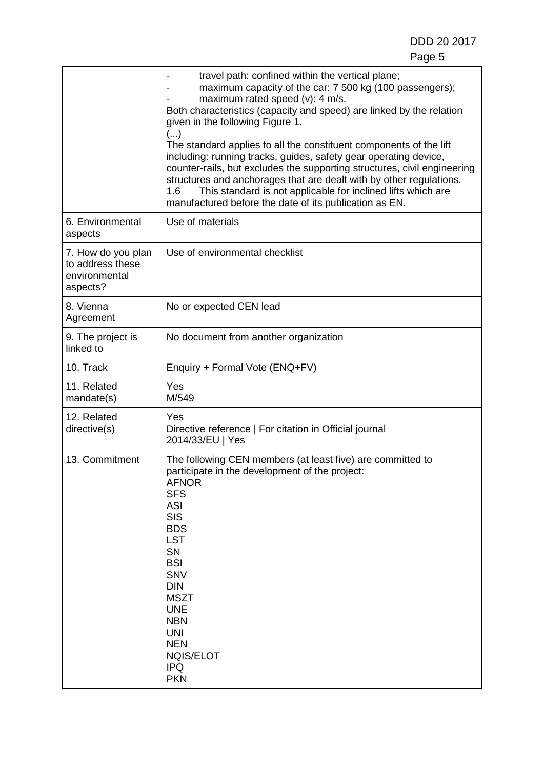|                                                                     | travel path: confined within the vertical plane;<br>maximum capacity of the car: 7 500 kg (100 passengers);<br>maximum rated speed (v): 4 m/s.<br>Both characteristics (capacity and speed) are linked by the relation<br>given in the following Figure 1.<br>()<br>The standard applies to all the constituent components of the lift<br>including: running tracks, guides, safety gear operating device,<br>counter-rails, but excludes the supporting structures, civil engineering<br>structures and anchorages that are dealt with by other regulations.<br>This standard is not applicable for inclined lifts which are<br>1.6<br>manufactured before the date of its publication as EN. |  |
|---------------------------------------------------------------------|------------------------------------------------------------------------------------------------------------------------------------------------------------------------------------------------------------------------------------------------------------------------------------------------------------------------------------------------------------------------------------------------------------------------------------------------------------------------------------------------------------------------------------------------------------------------------------------------------------------------------------------------------------------------------------------------|--|
| 6. Environmental<br>aspects                                         | Use of materials                                                                                                                                                                                                                                                                                                                                                                                                                                                                                                                                                                                                                                                                               |  |
| 7. How do you plan<br>to address these<br>environmental<br>aspects? | Use of environmental checklist                                                                                                                                                                                                                                                                                                                                                                                                                                                                                                                                                                                                                                                                 |  |
| 8. Vienna<br>Agreement                                              | No or expected CEN lead                                                                                                                                                                                                                                                                                                                                                                                                                                                                                                                                                                                                                                                                        |  |
| 9. The project is<br>linked to                                      | No document from another organization                                                                                                                                                                                                                                                                                                                                                                                                                                                                                                                                                                                                                                                          |  |
| Enquiry + Formal Vote (ENQ+FV)<br>10. Track                         |                                                                                                                                                                                                                                                                                                                                                                                                                                                                                                                                                                                                                                                                                                |  |
| 11. Related<br>mandate(s)                                           | Yes<br>M/549                                                                                                                                                                                                                                                                                                                                                                                                                                                                                                                                                                                                                                                                                   |  |
| 12. Related<br>directive(s)                                         | Yes<br>Directive reference   For citation in Official journal<br>2014/33/EU   Yes                                                                                                                                                                                                                                                                                                                                                                                                                                                                                                                                                                                                              |  |
| 13. Commitment                                                      | The following CEN members (at least five) are committed to<br>participate in the development of the project:<br><b>AFNOR</b><br><b>SFS</b><br><b>ASI</b><br><b>SIS</b><br><b>BDS</b><br><b>LST</b><br><b>SN</b><br><b>BSI</b><br><b>SNV</b><br><b>DIN</b><br><b>MSZT</b><br><b>UNE</b><br><b>NBN</b><br><b>UNI</b><br><b>NEN</b><br><b>NQIS/ELOT</b><br><b>IPQ</b><br><b>PKN</b>                                                                                                                                                                                                                                                                                                               |  |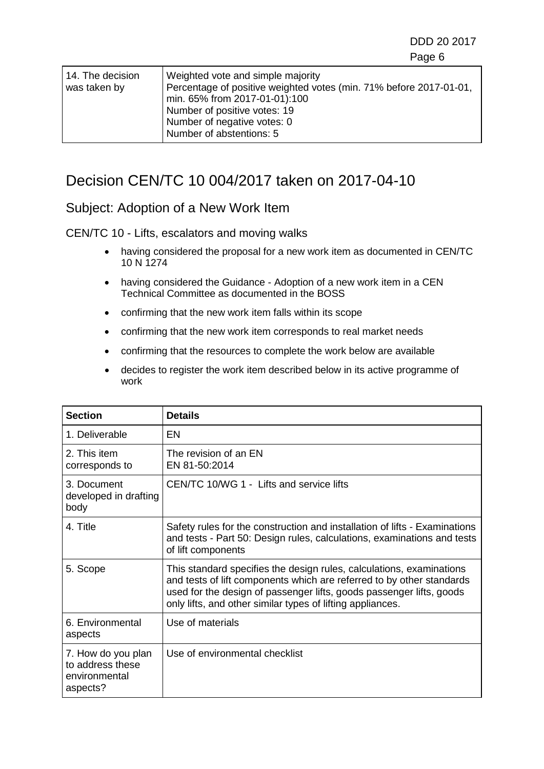| 14. The decision<br>was taken by | Weighted vote and simple majority<br>Percentage of positive weighted votes (min. 71% before 2017-01-01,<br>min. 65% from 2017-01-01):100<br>Number of positive votes: 19 |
|----------------------------------|--------------------------------------------------------------------------------------------------------------------------------------------------------------------------|
|                                  | Number of negative votes: 0<br>Number of abstentions: 5                                                                                                                  |

# Decision CEN/TC 10 004/2017 taken on 2017-04-10

#### Subject: Adoption of a New Work Item

#### CEN/TC 10 - Lifts, escalators and moving walks

- having considered the proposal for a new work item as documented in CEN/TC 10 N 1274
- having considered the Guidance Adoption of a new work item in a CEN Technical Committee as documented in the BOSS
- confirming that the new work item falls within its scope
- confirming that the new work item corresponds to real market needs
- confirming that the resources to complete the work below are available
- decides to register the work item described below in its active programme of work

| <b>Section</b>                                                      | <b>Details</b>                                                                                                                                                                                                                                                                      |  |
|---------------------------------------------------------------------|-------------------------------------------------------------------------------------------------------------------------------------------------------------------------------------------------------------------------------------------------------------------------------------|--|
| 1. Deliverable                                                      | EN                                                                                                                                                                                                                                                                                  |  |
| 2. This item<br>corresponds to                                      | The revision of an EN<br>EN 81-50:2014                                                                                                                                                                                                                                              |  |
| 3. Document<br>developed in drafting<br>body                        | CEN/TC 10/WG 1 - Lifts and service lifts                                                                                                                                                                                                                                            |  |
| 4. Title                                                            | Safety rules for the construction and installation of lifts - Examinations<br>and tests - Part 50: Design rules, calculations, examinations and tests<br>of lift components                                                                                                         |  |
| 5. Scope                                                            | This standard specifies the design rules, calculations, examinations<br>and tests of lift components which are referred to by other standards<br>used for the design of passenger lifts, goods passenger lifts, goods<br>only lifts, and other similar types of lifting appliances. |  |
| 6. Environmental<br>aspects                                         | Use of materials                                                                                                                                                                                                                                                                    |  |
| 7. How do you plan<br>to address these<br>environmental<br>aspects? | Use of environmental checklist                                                                                                                                                                                                                                                      |  |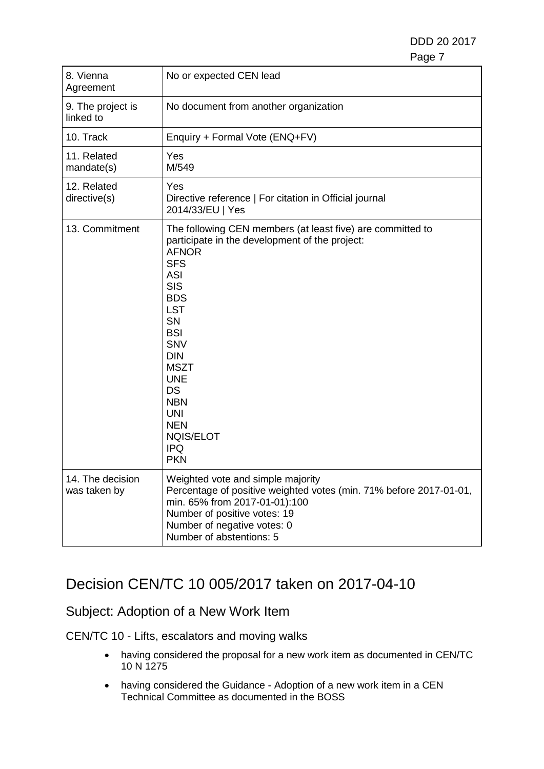| 8. Vienna<br>Agreement           | No or expected CEN lead                                                                                                                                                                                                                                                                                                                                                                |  |
|----------------------------------|----------------------------------------------------------------------------------------------------------------------------------------------------------------------------------------------------------------------------------------------------------------------------------------------------------------------------------------------------------------------------------------|--|
| 9. The project is<br>linked to   | No document from another organization                                                                                                                                                                                                                                                                                                                                                  |  |
| 10. Track                        | Enquiry + Formal Vote (ENQ+FV)                                                                                                                                                                                                                                                                                                                                                         |  |
| 11. Related<br>mandate(s)        | Yes<br>M/549                                                                                                                                                                                                                                                                                                                                                                           |  |
| 12. Related<br>directive(s)      | Yes<br>Directive reference   For citation in Official journal<br>2014/33/EU   Yes                                                                                                                                                                                                                                                                                                      |  |
| 13. Commitment                   | The following CEN members (at least five) are committed to<br>participate in the development of the project:<br><b>AFNOR</b><br><b>SFS</b><br><b>ASI</b><br><b>SIS</b><br><b>BDS</b><br><b>LST</b><br>SN<br><b>BSI</b><br><b>SNV</b><br><b>DIN</b><br><b>MSZT</b><br><b>UNE</b><br><b>DS</b><br><b>NBN</b><br><b>UNI</b><br><b>NEN</b><br><b>NQIS/ELOT</b><br><b>IPQ</b><br><b>PKN</b> |  |
| 14. The decision<br>was taken by | Weighted vote and simple majority<br>Percentage of positive weighted votes (min. 71% before 2017-01-01,<br>min. 65% from 2017-01-01):100<br>Number of positive votes: 19<br>Number of negative votes: 0<br>Number of abstentions: 5                                                                                                                                                    |  |

## Decision CEN/TC 10 005/2017 taken on 2017-04-10

### Subject: Adoption of a New Work Item

CEN/TC 10 - Lifts, escalators and moving walks

- having considered the proposal for a new work item as documented in CEN/TC 10 N 1275
- having considered the Guidance Adoption of a new work item in a CEN Technical Committee as documented in the BOSS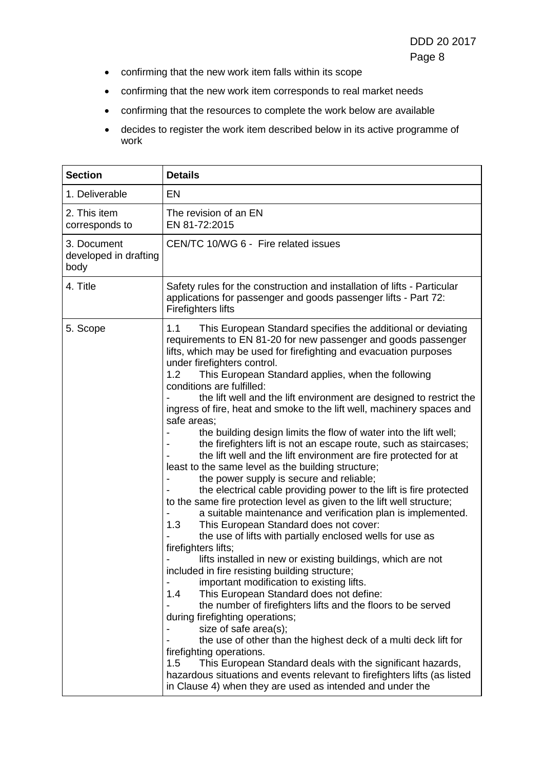- confirming that the new work item falls within its scope
- confirming that the new work item corresponds to real market needs
- confirming that the resources to complete the work below are available
- decides to register the work item described below in its active programme of work

| <b>Section</b>                               | <b>Details</b>                                                                                                                                                                                                                                                                                                                                                                                                                                                                                                                                                                                                                                                                                                                                                                                                                                                                                                                                                                                                                                                                                                                                                                                                                                                                                                                                                                                                                                                                                                                                                                                                                                                                                                                                                                                                                    |  |
|----------------------------------------------|-----------------------------------------------------------------------------------------------------------------------------------------------------------------------------------------------------------------------------------------------------------------------------------------------------------------------------------------------------------------------------------------------------------------------------------------------------------------------------------------------------------------------------------------------------------------------------------------------------------------------------------------------------------------------------------------------------------------------------------------------------------------------------------------------------------------------------------------------------------------------------------------------------------------------------------------------------------------------------------------------------------------------------------------------------------------------------------------------------------------------------------------------------------------------------------------------------------------------------------------------------------------------------------------------------------------------------------------------------------------------------------------------------------------------------------------------------------------------------------------------------------------------------------------------------------------------------------------------------------------------------------------------------------------------------------------------------------------------------------------------------------------------------------------------------------------------------------|--|
| 1. Deliverable                               | EN                                                                                                                                                                                                                                                                                                                                                                                                                                                                                                                                                                                                                                                                                                                                                                                                                                                                                                                                                                                                                                                                                                                                                                                                                                                                                                                                                                                                                                                                                                                                                                                                                                                                                                                                                                                                                                |  |
| 2. This item<br>corresponds to               | The revision of an EN<br>EN 81-72:2015                                                                                                                                                                                                                                                                                                                                                                                                                                                                                                                                                                                                                                                                                                                                                                                                                                                                                                                                                                                                                                                                                                                                                                                                                                                                                                                                                                                                                                                                                                                                                                                                                                                                                                                                                                                            |  |
| 3. Document<br>developed in drafting<br>body | CEN/TC 10/WG 6 - Fire related issues                                                                                                                                                                                                                                                                                                                                                                                                                                                                                                                                                                                                                                                                                                                                                                                                                                                                                                                                                                                                                                                                                                                                                                                                                                                                                                                                                                                                                                                                                                                                                                                                                                                                                                                                                                                              |  |
| 4. Title                                     | Safety rules for the construction and installation of lifts - Particular<br>applications for passenger and goods passenger lifts - Part 72:<br><b>Firefighters lifts</b>                                                                                                                                                                                                                                                                                                                                                                                                                                                                                                                                                                                                                                                                                                                                                                                                                                                                                                                                                                                                                                                                                                                                                                                                                                                                                                                                                                                                                                                                                                                                                                                                                                                          |  |
| 5. Scope                                     | This European Standard specifies the additional or deviating<br>1.1<br>requirements to EN 81-20 for new passenger and goods passenger<br>lifts, which may be used for firefighting and evacuation purposes<br>under firefighters control.<br>This European Standard applies, when the following<br>1.2<br>conditions are fulfilled:<br>the lift well and the lift environment are designed to restrict the<br>ingress of fire, heat and smoke to the lift well, machinery spaces and<br>safe areas;<br>the building design limits the flow of water into the lift well;<br>the firefighters lift is not an escape route, such as staircases;<br>the lift well and the lift environment are fire protected for at<br>least to the same level as the building structure;<br>the power supply is secure and reliable;<br>the electrical cable providing power to the lift is fire protected<br>to the same fire protection level as given to the lift well structure;<br>a suitable maintenance and verification plan is implemented.<br>This European Standard does not cover:<br>1.3<br>the use of lifts with partially enclosed wells for use as<br>firefighters lifts;<br>lifts installed in new or existing buildings, which are not<br>included in fire resisting building structure;<br>important modification to existing lifts.<br>This European Standard does not define:<br>1.4<br>the number of firefighters lifts and the floors to be served<br>during firefighting operations;<br>size of safe area(s);<br>the use of other than the highest deck of a multi deck lift for<br>firefighting operations.<br>This European Standard deals with the significant hazards,<br>1.5<br>hazardous situations and events relevant to firefighters lifts (as listed<br>in Clause 4) when they are used as intended and under the |  |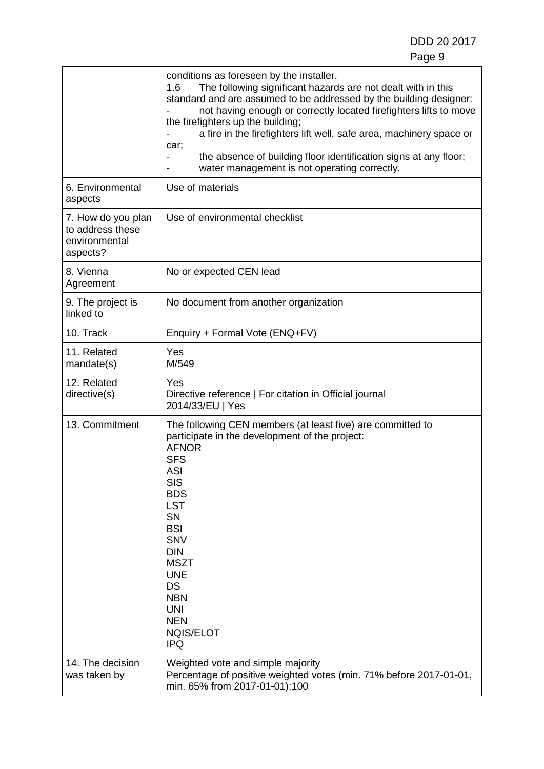٦

|                                                                     | conditions as foreseen by the installer.<br>The following significant hazards are not dealt with in this<br>1.6<br>standard and are assumed to be addressed by the building designer:<br>not having enough or correctly located firefighters lifts to move<br>the firefighters up the building;<br>a fire in the firefighters lift well, safe area, machinery space or<br>car;<br>the absence of building floor identification signs at any floor;<br>water management is not operating correctly. |  |
|---------------------------------------------------------------------|----------------------------------------------------------------------------------------------------------------------------------------------------------------------------------------------------------------------------------------------------------------------------------------------------------------------------------------------------------------------------------------------------------------------------------------------------------------------------------------------------|--|
| 6. Environmental<br>aspects                                         | Use of materials                                                                                                                                                                                                                                                                                                                                                                                                                                                                                   |  |
| 7. How do you plan<br>to address these<br>environmental<br>aspects? | Use of environmental checklist                                                                                                                                                                                                                                                                                                                                                                                                                                                                     |  |
| 8. Vienna<br>No or expected CEN lead<br>Agreement                   |                                                                                                                                                                                                                                                                                                                                                                                                                                                                                                    |  |
| 9. The project is<br>linked to                                      | No document from another organization                                                                                                                                                                                                                                                                                                                                                                                                                                                              |  |
| 10. Track                                                           | Enquiry + Formal Vote (ENQ+FV)                                                                                                                                                                                                                                                                                                                                                                                                                                                                     |  |
| 11. Related<br>mandate(s)                                           | Yes<br>M/549                                                                                                                                                                                                                                                                                                                                                                                                                                                                                       |  |
| 12. Related<br>directive(s)                                         | Yes<br>Directive reference   For citation in Official journal<br>2014/33/EU   Yes                                                                                                                                                                                                                                                                                                                                                                                                                  |  |
| 13. Commitment                                                      | The following CEN members (at least five) are committed to<br>participate in the development of the project:<br><b>AFNOR</b><br><b>SFS</b><br><b>ASI</b><br><b>SIS</b><br><b>BDS</b><br><b>LST</b><br>SN<br><b>BSI</b><br><b>SNV</b><br><b>DIN</b><br><b>MSZT</b><br><b>UNE</b><br><b>DS</b><br><b>NBN</b><br><b>UNI</b><br><b>NEN</b><br><b>NQIS/ELOT</b><br><b>IPQ</b>                                                                                                                           |  |
| 14. The decision<br>was taken by                                    | Weighted vote and simple majority<br>Percentage of positive weighted votes (min. 71% before 2017-01-01,<br>min. 65% from 2017-01-01):100                                                                                                                                                                                                                                                                                                                                                           |  |

 $\mathsf{r}$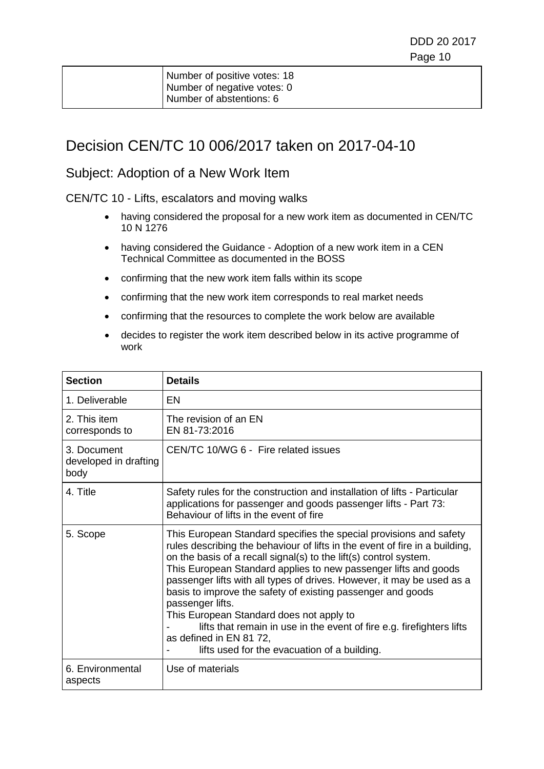| Number of positive votes: 18 |
|------------------------------|
| Number of negative votes: 0  |
| Number of abstentions: 6     |

## Decision CEN/TC 10 006/2017 taken on 2017-04-10

#### Subject: Adoption of a New Work Item

CEN/TC 10 - Lifts, escalators and moving walks

- having considered the proposal for a new work item as documented in CEN/TC 10 N 1276
- having considered the Guidance Adoption of a new work item in a CEN Technical Committee as documented in the BOSS
- confirming that the new work item falls within its scope
- confirming that the new work item corresponds to real market needs
- confirming that the resources to complete the work below are available
- decides to register the work item described below in its active programme of work

| <b>Section</b>                               | <b>Details</b>                                                                                                                                                                                                                                                                                                                                                                                                                                                                                                                                                                                                                                         |
|----------------------------------------------|--------------------------------------------------------------------------------------------------------------------------------------------------------------------------------------------------------------------------------------------------------------------------------------------------------------------------------------------------------------------------------------------------------------------------------------------------------------------------------------------------------------------------------------------------------------------------------------------------------------------------------------------------------|
| 1. Deliverable                               | EN                                                                                                                                                                                                                                                                                                                                                                                                                                                                                                                                                                                                                                                     |
| 2. This item<br>corresponds to               | The revision of an EN<br>EN 81-73:2016                                                                                                                                                                                                                                                                                                                                                                                                                                                                                                                                                                                                                 |
| 3. Document<br>developed in drafting<br>body | CEN/TC 10/WG 6 - Fire related issues                                                                                                                                                                                                                                                                                                                                                                                                                                                                                                                                                                                                                   |
| 4. Title                                     | Safety rules for the construction and installation of lifts - Particular<br>applications for passenger and goods passenger lifts - Part 73:<br>Behaviour of lifts in the event of fire                                                                                                                                                                                                                                                                                                                                                                                                                                                                 |
| 5. Scope                                     | This European Standard specifies the special provisions and safety<br>rules describing the behaviour of lifts in the event of fire in a building,<br>on the basis of a recall signal(s) to the lift(s) control system.<br>This European Standard applies to new passenger lifts and goods<br>passenger lifts with all types of drives. However, it may be used as a<br>basis to improve the safety of existing passenger and goods<br>passenger lifts.<br>This European Standard does not apply to<br>lifts that remain in use in the event of fire e.g. firefighters lifts<br>as defined in EN 81 72,<br>lifts used for the evacuation of a building. |
| 6. Environmental<br>aspects                  | Use of materials                                                                                                                                                                                                                                                                                                                                                                                                                                                                                                                                                                                                                                       |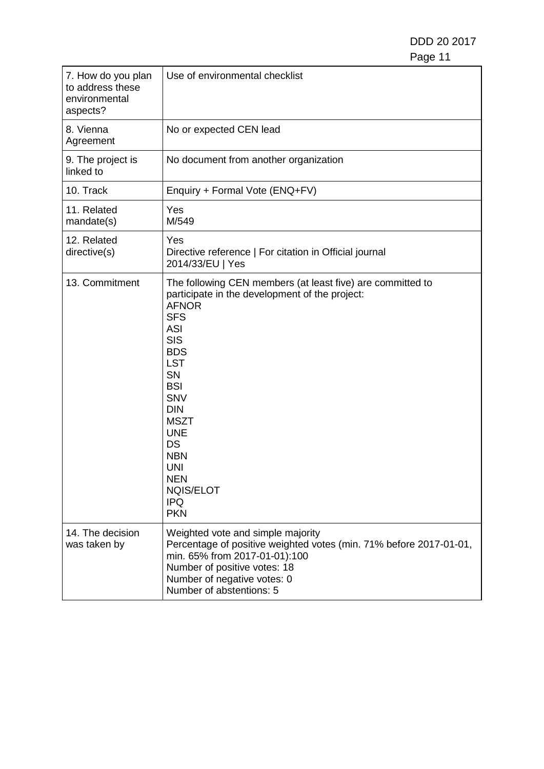| 7. How do you plan<br>to address these<br>environmental<br>aspects? | Use of environmental checklist                                                                                                                                                                                                                                                                                                                                                         |
|---------------------------------------------------------------------|----------------------------------------------------------------------------------------------------------------------------------------------------------------------------------------------------------------------------------------------------------------------------------------------------------------------------------------------------------------------------------------|
| 8. Vienna<br>Agreement                                              | No or expected CEN lead                                                                                                                                                                                                                                                                                                                                                                |
| 9. The project is<br>linked to                                      | No document from another organization                                                                                                                                                                                                                                                                                                                                                  |
| 10. Track                                                           | Enquiry + Formal Vote (ENQ+FV)                                                                                                                                                                                                                                                                                                                                                         |
| 11. Related<br>mandate(s)                                           | Yes<br>M/549                                                                                                                                                                                                                                                                                                                                                                           |
| 12. Related<br>directive(s)                                         | Yes<br>Directive reference   For citation in Official journal<br>2014/33/EU   Yes                                                                                                                                                                                                                                                                                                      |
| 13. Commitment                                                      | The following CEN members (at least five) are committed to<br>participate in the development of the project:<br><b>AFNOR</b><br><b>SFS</b><br><b>ASI</b><br><b>SIS</b><br><b>BDS</b><br><b>LST</b><br><b>SN</b><br><b>BSI</b><br><b>SNV</b><br><b>DIN</b><br><b>MSZT</b><br><b>UNE</b><br>DS<br><b>NBN</b><br><b>UNI</b><br><b>NEN</b><br><b>NQIS/ELOT</b><br><b>IPQ</b><br><b>PKN</b> |
| 14. The decision<br>was taken by                                    | Weighted vote and simple majority<br>Percentage of positive weighted votes (min. 71% before 2017-01-01,<br>min. 65% from 2017-01-01):100<br>Number of positive votes: 18<br>Number of negative votes: 0<br>Number of abstentions: 5                                                                                                                                                    |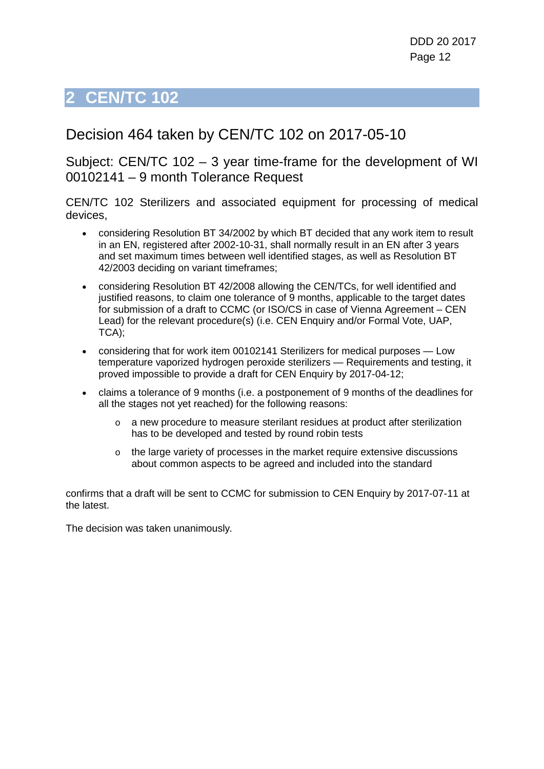# <span id="page-11-0"></span>**2 CEN/TC 102**

## Decision 464 taken by CEN/TC 102 on 2017-05-10

Subject: CEN/TC 102 – 3 year time-frame for the development of WI 00102141 – 9 month Tolerance Request

CEN/TC 102 Sterilizers and associated equipment for processing of medical devices,

- considering Resolution BT 34/2002 by which BT decided that any work item to result in an EN, registered after 2002-10-31, shall normally result in an EN after 3 years and set maximum times between well identified stages, as well as Resolution BT 42/2003 deciding on variant timeframes;
- considering Resolution BT 42/2008 allowing the CEN/TCs, for well identified and justified reasons, to claim one tolerance of 9 months, applicable to the target dates for submission of a draft to CCMC (or ISO/CS in case of Vienna Agreement – CEN Lead) for the relevant procedure(s) (i.e. CEN Enquiry and/or Formal Vote, UAP, TCA);
- considering that for work item 00102141 Sterilizers for medical purposes Low temperature vaporized hydrogen peroxide sterilizers — Requirements and testing, it proved impossible to provide a draft for CEN Enquiry by 2017-04-12;
- claims a tolerance of 9 months (i.e. a postponement of 9 months of the deadlines for all the stages not yet reached) for the following reasons:
	- o a new procedure to measure sterilant residues at product after sterilization has to be developed and tested by round robin tests
	- o the large variety of processes in the market require extensive discussions about common aspects to be agreed and included into the standard

confirms that a draft will be sent to CCMC for submission to CEN Enquiry by 2017-07-11 at the latest.

The decision was taken unanimously*.*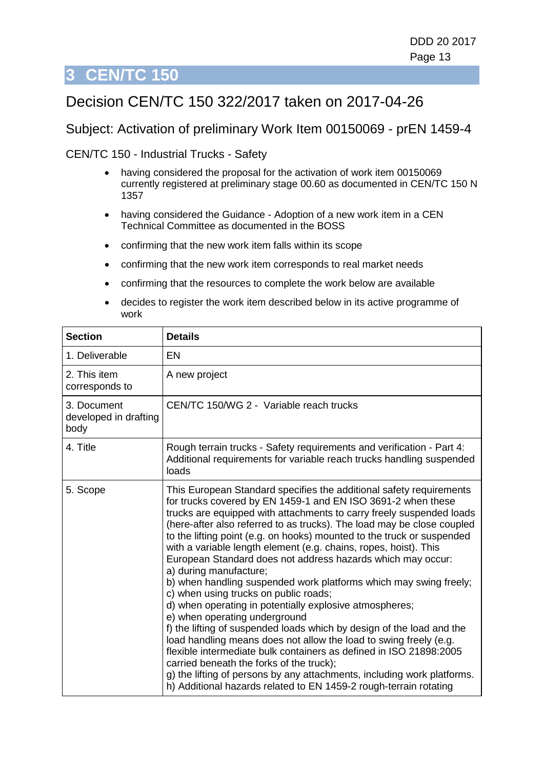# <span id="page-12-0"></span>**3 CEN/TC 150**

# Decision CEN/TC 150 322/2017 taken on 2017-04-26

#### Subject: Activation of preliminary Work Item 00150069 - prEN 1459-4

CEN/TC 150 - Industrial Trucks - Safety

- having considered the proposal for the activation of work item 00150069 currently registered at preliminary stage 00.60 as documented in CEN/TC 150 N 1357
- having considered the Guidance Adoption of a new work item in a CEN Technical Committee as documented in the BOSS
- confirming that the new work item falls within its scope
- confirming that the new work item corresponds to real market needs
- confirming that the resources to complete the work below are available
- decides to register the work item described below in its active programme of work

| <b>Section</b>                               | <b>Details</b>                                                                                                                                                                                                                                                                                                                                                                                                                                                                                                                                                                                                                                                                                                                                                                                                                                                                                                                                                                                                                                                                                                                                         |
|----------------------------------------------|--------------------------------------------------------------------------------------------------------------------------------------------------------------------------------------------------------------------------------------------------------------------------------------------------------------------------------------------------------------------------------------------------------------------------------------------------------------------------------------------------------------------------------------------------------------------------------------------------------------------------------------------------------------------------------------------------------------------------------------------------------------------------------------------------------------------------------------------------------------------------------------------------------------------------------------------------------------------------------------------------------------------------------------------------------------------------------------------------------------------------------------------------------|
| 1. Deliverable                               | EN                                                                                                                                                                                                                                                                                                                                                                                                                                                                                                                                                                                                                                                                                                                                                                                                                                                                                                                                                                                                                                                                                                                                                     |
| 2. This item<br>corresponds to               | A new project                                                                                                                                                                                                                                                                                                                                                                                                                                                                                                                                                                                                                                                                                                                                                                                                                                                                                                                                                                                                                                                                                                                                          |
| 3. Document<br>developed in drafting<br>body | CEN/TC 150/WG 2 - Variable reach trucks                                                                                                                                                                                                                                                                                                                                                                                                                                                                                                                                                                                                                                                                                                                                                                                                                                                                                                                                                                                                                                                                                                                |
| 4. Title                                     | Rough terrain trucks - Safety requirements and verification - Part 4:<br>Additional requirements for variable reach trucks handling suspended<br>loads                                                                                                                                                                                                                                                                                                                                                                                                                                                                                                                                                                                                                                                                                                                                                                                                                                                                                                                                                                                                 |
| 5. Scope                                     | This European Standard specifies the additional safety requirements<br>for trucks covered by EN 1459-1 and EN ISO 3691-2 when these<br>trucks are equipped with attachments to carry freely suspended loads<br>(here-after also referred to as trucks). The load may be close coupled<br>to the lifting point (e.g. on hooks) mounted to the truck or suspended<br>with a variable length element (e.g. chains, ropes, hoist). This<br>European Standard does not address hazards which may occur:<br>a) during manufacture;<br>b) when handling suspended work platforms which may swing freely;<br>c) when using trucks on public roads;<br>d) when operating in potentially explosive atmospheres;<br>e) when operating underground<br>f) the lifting of suspended loads which by design of the load and the<br>load handling means does not allow the load to swing freely (e.g.<br>flexible intermediate bulk containers as defined in ISO 21898:2005<br>carried beneath the forks of the truck);<br>g) the lifting of persons by any attachments, including work platforms.<br>h) Additional hazards related to EN 1459-2 rough-terrain rotating |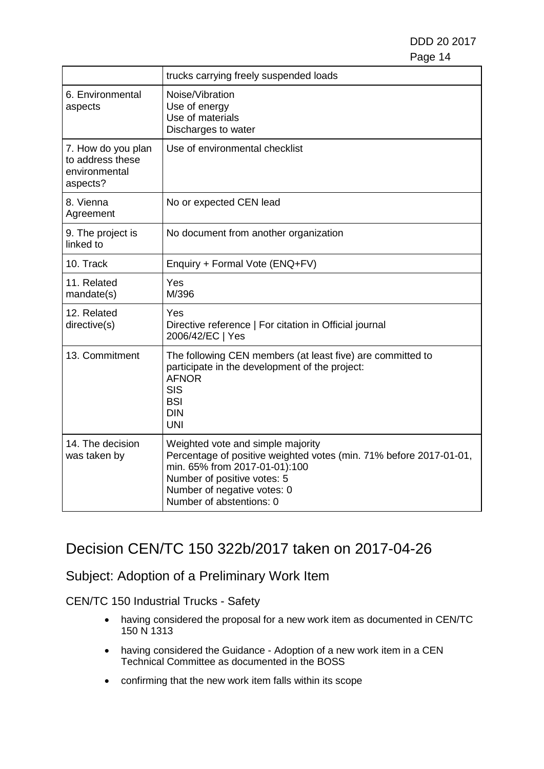|                                                                     | trucks carrying freely suspended loads                                                                                                                                                                                             |
|---------------------------------------------------------------------|------------------------------------------------------------------------------------------------------------------------------------------------------------------------------------------------------------------------------------|
| 6. Environmental<br>aspects                                         | Noise/Vibration<br>Use of energy<br>Use of materials<br>Discharges to water                                                                                                                                                        |
| 7. How do you plan<br>to address these<br>environmental<br>aspects? | Use of environmental checklist                                                                                                                                                                                                     |
| 8. Vienna<br>Agreement                                              | No or expected CEN lead                                                                                                                                                                                                            |
| 9. The project is<br>linked to                                      | No document from another organization                                                                                                                                                                                              |
| 10. Track                                                           | Enquiry + Formal Vote (ENQ+FV)                                                                                                                                                                                                     |
| 11. Related<br>mandate(s)                                           | Yes<br>M/396                                                                                                                                                                                                                       |
| 12. Related<br>directive(s)                                         | Yes<br>Directive reference   For citation in Official journal<br>2006/42/EC   Yes                                                                                                                                                  |
| 13. Commitment                                                      | The following CEN members (at least five) are committed to<br>participate in the development of the project:<br><b>AFNOR</b><br><b>SIS</b><br><b>BSI</b><br><b>DIN</b><br><b>UNI</b>                                               |
| 14. The decision<br>was taken by                                    | Weighted vote and simple majority<br>Percentage of positive weighted votes (min. 71% before 2017-01-01,<br>min. 65% from 2017-01-01):100<br>Number of positive votes: 5<br>Number of negative votes: 0<br>Number of abstentions: 0 |

# Decision CEN/TC 150 322b/2017 taken on 2017-04-26

### Subject: Adoption of a Preliminary Work Item

#### CEN/TC 150 Industrial Trucks - Safety

- having considered the proposal for a new work item as documented in CEN/TC 150 N 1313
- having considered the Guidance Adoption of a new work item in a CEN Technical Committee as documented in the BOSS
- confirming that the new work item falls within its scope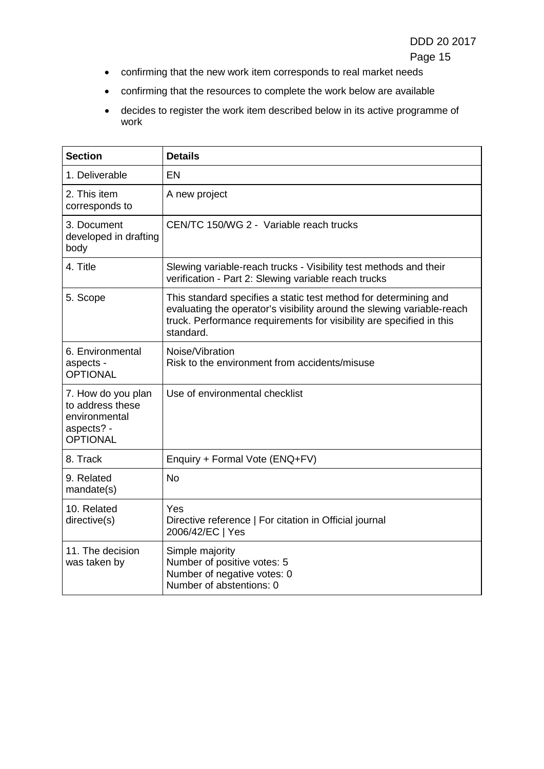Page 15

- confirming that the new work item corresponds to real market needs
- confirming that the resources to complete the work below are available
- decides to register the work item described below in its active programme of work

| <b>Section</b>                                                                           | <b>Details</b>                                                                                                                                                                                                                  |
|------------------------------------------------------------------------------------------|---------------------------------------------------------------------------------------------------------------------------------------------------------------------------------------------------------------------------------|
| 1. Deliverable                                                                           | EN                                                                                                                                                                                                                              |
| 2. This item<br>corresponds to                                                           | A new project                                                                                                                                                                                                                   |
| 3. Document<br>developed in drafting<br>body                                             | CEN/TC 150/WG 2 - Variable reach trucks                                                                                                                                                                                         |
| 4. Title                                                                                 | Slewing variable-reach trucks - Visibility test methods and their<br>verification - Part 2: Slewing variable reach trucks                                                                                                       |
| 5. Scope                                                                                 | This standard specifies a static test method for determining and<br>evaluating the operator's visibility around the slewing variable-reach<br>truck. Performance requirements for visibility are specified in this<br>standard. |
| 6. Environmental<br>aspects -<br><b>OPTIONAL</b>                                         | Noise/Vibration<br>Risk to the environment from accidents/misuse                                                                                                                                                                |
| 7. How do you plan<br>to address these<br>environmental<br>aspects? -<br><b>OPTIONAL</b> | Use of environmental checklist                                                                                                                                                                                                  |
| 8. Track                                                                                 | Enquiry + Formal Vote (ENQ+FV)                                                                                                                                                                                                  |
| 9. Related<br>mandate(s)                                                                 | <b>No</b>                                                                                                                                                                                                                       |
| 10. Related<br>directive(s)                                                              | Yes<br>Directive reference   For citation in Official journal<br>2006/42/EC   Yes                                                                                                                                               |
| 11. The decision<br>was taken by                                                         | Simple majority<br>Number of positive votes: 5<br>Number of negative votes: 0<br>Number of abstentions: 0                                                                                                                       |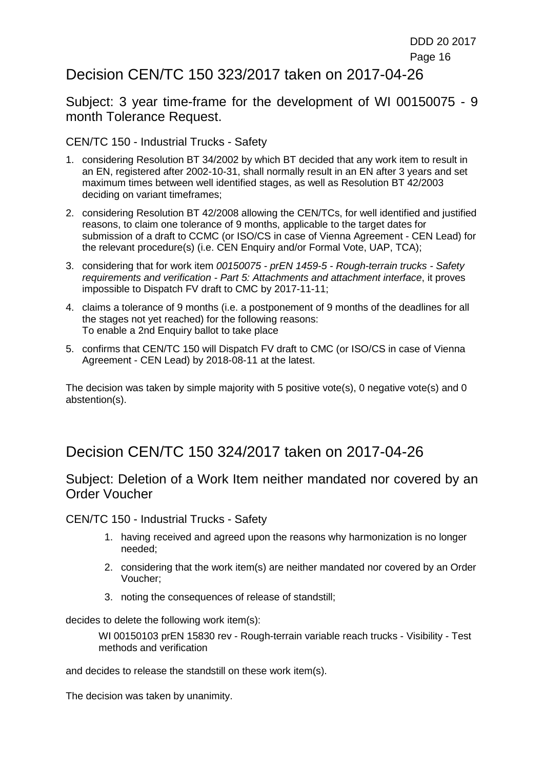## Decision CEN/TC 150 323/2017 taken on 2017-04-26

Subject: 3 year time-frame for the development of WI 00150075 - 9 month Tolerance Request.

CEN/TC 150 - Industrial Trucks - Safety

- 1. considering Resolution BT 34/2002 by which BT decided that any work item to result in an EN, registered after 2002-10-31, shall normally result in an EN after 3 years and set maximum times between well identified stages, as well as Resolution BT 42/2003 deciding on variant timeframes;
- 2. considering Resolution BT 42/2008 allowing the CEN/TCs, for well identified and justified reasons, to claim one tolerance of 9 months, applicable to the target dates for submission of a draft to CCMC (or ISO/CS in case of Vienna Agreement - CEN Lead) for the relevant procedure(s) (i.e. CEN Enquiry and/or Formal Vote, UAP, TCA);
- 3. considering that for work item *00150075 - prEN 1459-5 - Rough-terrain trucks - Safety requirements and verification - Part 5: Attachments and attachment interface*, it proves impossible to Dispatch FV draft to CMC by 2017-11-11;
- 4. claims a tolerance of 9 months (i.e. a postponement of 9 months of the deadlines for all the stages not yet reached) for the following reasons: To enable a 2nd Enquiry ballot to take place
- 5. confirms that CEN/TC 150 will Dispatch FV draft to CMC (or ISO/CS in case of Vienna Agreement - CEN Lead) by 2018-08-11 at the latest.

The decision was taken by simple majority with 5 positive vote(s), 0 negative vote(s) and 0 abstention(s).

## Decision CEN/TC 150 324/2017 taken on 2017-04-26

#### Subject: Deletion of a Work Item neither mandated nor covered by an Order Voucher

CEN/TC 150 - Industrial Trucks - Safety

- 1. having received and agreed upon the reasons why harmonization is no longer needed;
- 2. considering that the work item(s) are neither mandated nor covered by an Order Voucher;
- 3. noting the consequences of release of standstill;

decides to delete the following work item(s):

WI 00150103 prEN 15830 rev - Rough-terrain variable reach trucks - Visibility - Test methods and verification

and decides to release the standstill on these work item(s).

The decision was taken by unanimity.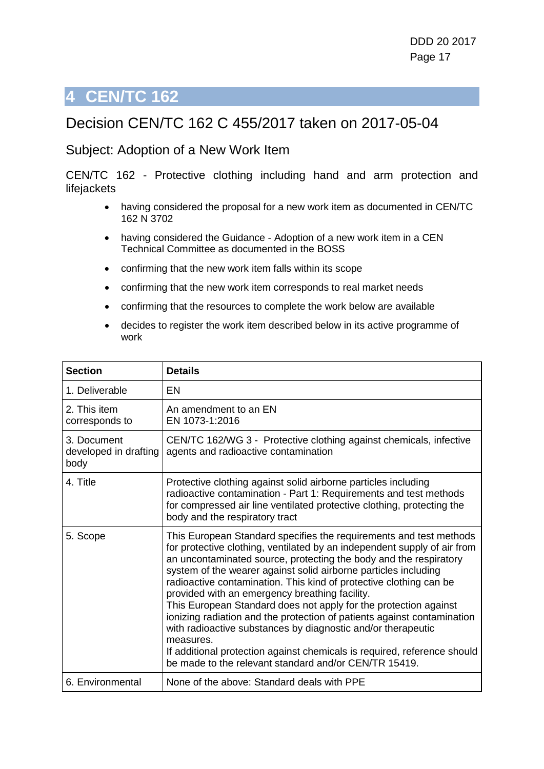# <span id="page-16-0"></span>**4 CEN/TC 162**

## Decision CEN/TC 162 C 455/2017 taken on 2017-05-04

#### Subject: Adoption of a New Work Item

CEN/TC 162 - Protective clothing including hand and arm protection and lifejackets

- having considered the proposal for a new work item as documented in CEN/TC 162 N 3702
- having considered the Guidance Adoption of a new work item in a CEN Technical Committee as documented in the BOSS
- confirming that the new work item falls within its scope
- confirming that the new work item corresponds to real market needs
- confirming that the resources to complete the work below are available
- decides to register the work item described below in its active programme of work

| <b>Section</b>                               | <b>Details</b>                                                                                                                                                                                                                                                                                                                                                                                                                                                                                                                                                                                                                                                                                                                                                                  |
|----------------------------------------------|---------------------------------------------------------------------------------------------------------------------------------------------------------------------------------------------------------------------------------------------------------------------------------------------------------------------------------------------------------------------------------------------------------------------------------------------------------------------------------------------------------------------------------------------------------------------------------------------------------------------------------------------------------------------------------------------------------------------------------------------------------------------------------|
| 1. Deliverable                               | EN                                                                                                                                                                                                                                                                                                                                                                                                                                                                                                                                                                                                                                                                                                                                                                              |
| 2. This item<br>corresponds to               | An amendment to an EN<br>EN 1073-1:2016                                                                                                                                                                                                                                                                                                                                                                                                                                                                                                                                                                                                                                                                                                                                         |
| 3. Document<br>developed in drafting<br>body | CEN/TC 162/WG 3 - Protective clothing against chemicals, infective<br>agents and radioactive contamination                                                                                                                                                                                                                                                                                                                                                                                                                                                                                                                                                                                                                                                                      |
| 4. Title                                     | Protective clothing against solid airborne particles including<br>radioactive contamination - Part 1: Requirements and test methods<br>for compressed air line ventilated protective clothing, protecting the<br>body and the respiratory tract                                                                                                                                                                                                                                                                                                                                                                                                                                                                                                                                 |
| 5. Scope                                     | This European Standard specifies the requirements and test methods<br>for protective clothing, ventilated by an independent supply of air from<br>an uncontaminated source, protecting the body and the respiratory<br>system of the wearer against solid airborne particles including<br>radioactive contamination. This kind of protective clothing can be<br>provided with an emergency breathing facility.<br>This European Standard does not apply for the protection against<br>ionizing radiation and the protection of patients against contamination<br>with radioactive substances by diagnostic and/or therapeutic<br>measures.<br>If additional protection against chemicals is required, reference should<br>be made to the relevant standard and/or CEN/TR 15419. |
| 6. Environmental                             | None of the above: Standard deals with PPE                                                                                                                                                                                                                                                                                                                                                                                                                                                                                                                                                                                                                                                                                                                                      |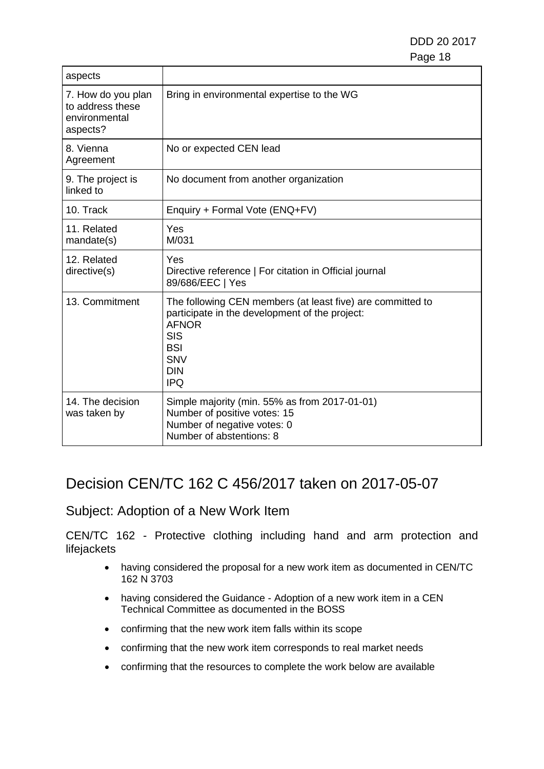| aspects                                                             |                                                                                                                                                                                             |
|---------------------------------------------------------------------|---------------------------------------------------------------------------------------------------------------------------------------------------------------------------------------------|
| 7. How do you plan<br>to address these<br>environmental<br>aspects? | Bring in environmental expertise to the WG                                                                                                                                                  |
| 8. Vienna<br>Agreement                                              | No or expected CEN lead                                                                                                                                                                     |
| 9. The project is<br>linked to                                      | No document from another organization                                                                                                                                                       |
| 10. Track                                                           | Enquiry + Formal Vote (ENQ+FV)                                                                                                                                                              |
| 11. Related<br>mandate(s)                                           | Yes<br>M/031                                                                                                                                                                                |
| 12. Related<br>directive(s)                                         | Yes<br>Directive reference   For citation in Official journal<br>89/686/EEC   Yes                                                                                                           |
| 13. Commitment                                                      | The following CEN members (at least five) are committed to<br>participate in the development of the project:<br><b>AFNOR</b><br>SIS<br><b>BSI</b><br><b>SNV</b><br><b>DIN</b><br><b>IPQ</b> |
| 14. The decision<br>was taken by                                    | Simple majority (min. 55% as from 2017-01-01)<br>Number of positive votes: 15<br>Number of negative votes: 0<br>Number of abstentions: 8                                                    |

# Decision CEN/TC 162 C 456/2017 taken on 2017-05-07

### Subject: Adoption of a New Work Item

CEN/TC 162 - Protective clothing including hand and arm protection and lifejackets

- having considered the proposal for a new work item as documented in CEN/TC 162 N 3703
- having considered the Guidance Adoption of a new work item in a CEN Technical Committee as documented in the BOSS
- confirming that the new work item falls within its scope
- confirming that the new work item corresponds to real market needs
- confirming that the resources to complete the work below are available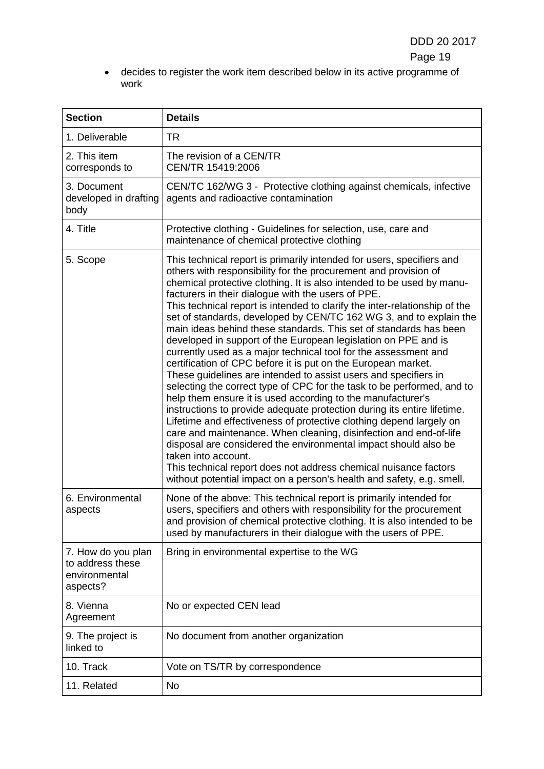• decides to register the work item described below in its active programme of work

| <b>Section</b>                                                      | <b>Details</b>                                                                                                                                                                                                                                                                                                                                                                                                                                                                                                                                                                                                                                                                                                                                                                                                                                                                                                                                                                                                                                                                                                                                                                                                                                                                                                                                                                   |
|---------------------------------------------------------------------|----------------------------------------------------------------------------------------------------------------------------------------------------------------------------------------------------------------------------------------------------------------------------------------------------------------------------------------------------------------------------------------------------------------------------------------------------------------------------------------------------------------------------------------------------------------------------------------------------------------------------------------------------------------------------------------------------------------------------------------------------------------------------------------------------------------------------------------------------------------------------------------------------------------------------------------------------------------------------------------------------------------------------------------------------------------------------------------------------------------------------------------------------------------------------------------------------------------------------------------------------------------------------------------------------------------------------------------------------------------------------------|
| 1. Deliverable                                                      | TR                                                                                                                                                                                                                                                                                                                                                                                                                                                                                                                                                                                                                                                                                                                                                                                                                                                                                                                                                                                                                                                                                                                                                                                                                                                                                                                                                                               |
| 2. This item<br>corresponds to                                      | The revision of a CEN/TR<br>CEN/TR 15419:2006                                                                                                                                                                                                                                                                                                                                                                                                                                                                                                                                                                                                                                                                                                                                                                                                                                                                                                                                                                                                                                                                                                                                                                                                                                                                                                                                    |
| 3. Document<br>developed in drafting<br>body                        | CEN/TC 162/WG 3 - Protective clothing against chemicals, infective<br>agents and radioactive contamination                                                                                                                                                                                                                                                                                                                                                                                                                                                                                                                                                                                                                                                                                                                                                                                                                                                                                                                                                                                                                                                                                                                                                                                                                                                                       |
| 4. Title                                                            | Protective clothing - Guidelines for selection, use, care and<br>maintenance of chemical protective clothing                                                                                                                                                                                                                                                                                                                                                                                                                                                                                                                                                                                                                                                                                                                                                                                                                                                                                                                                                                                                                                                                                                                                                                                                                                                                     |
| 5. Scope                                                            | This technical report is primarily intended for users, specifiers and<br>others with responsibility for the procurement and provision of<br>chemical protective clothing. It is also intended to be used by manu-<br>facturers in their dialogue with the users of PPE.<br>This technical report is intended to clarify the inter-relationship of the<br>set of standards, developed by CEN/TC 162 WG 3, and to explain the<br>main ideas behind these standards. This set of standards has been<br>developed in support of the European legislation on PPE and is<br>currently used as a major technical tool for the assessment and<br>certification of CPC before it is put on the European market.<br>These guidelines are intended to assist users and specifiers in<br>selecting the correct type of CPC for the task to be performed, and to<br>help them ensure it is used according to the manufacturer's<br>instructions to provide adequate protection during its entire lifetime.<br>Lifetime and effectiveness of protective clothing depend largely on<br>care and maintenance. When cleaning, disinfection and end-of-life<br>disposal are considered the environmental impact should also be<br>taken into account.<br>This technical report does not address chemical nuisance factors<br>without potential impact on a person's health and safety, e.g. smell. |
| 6. Environmental<br>aspects                                         | None of the above: This technical report is primarily intended for<br>users, specifiers and others with responsibility for the procurement<br>and provision of chemical protective clothing. It is also intended to be<br>used by manufacturers in their dialogue with the users of PPE.                                                                                                                                                                                                                                                                                                                                                                                                                                                                                                                                                                                                                                                                                                                                                                                                                                                                                                                                                                                                                                                                                         |
| 7. How do you plan<br>to address these<br>environmental<br>aspects? | Bring in environmental expertise to the WG                                                                                                                                                                                                                                                                                                                                                                                                                                                                                                                                                                                                                                                                                                                                                                                                                                                                                                                                                                                                                                                                                                                                                                                                                                                                                                                                       |
| 8. Vienna<br>Agreement                                              | No or expected CEN lead                                                                                                                                                                                                                                                                                                                                                                                                                                                                                                                                                                                                                                                                                                                                                                                                                                                                                                                                                                                                                                                                                                                                                                                                                                                                                                                                                          |
| 9. The project is<br>linked to                                      | No document from another organization                                                                                                                                                                                                                                                                                                                                                                                                                                                                                                                                                                                                                                                                                                                                                                                                                                                                                                                                                                                                                                                                                                                                                                                                                                                                                                                                            |
| 10. Track                                                           | Vote on TS/TR by correspondence                                                                                                                                                                                                                                                                                                                                                                                                                                                                                                                                                                                                                                                                                                                                                                                                                                                                                                                                                                                                                                                                                                                                                                                                                                                                                                                                                  |
| 11. Related                                                         | No                                                                                                                                                                                                                                                                                                                                                                                                                                                                                                                                                                                                                                                                                                                                                                                                                                                                                                                                                                                                                                                                                                                                                                                                                                                                                                                                                                               |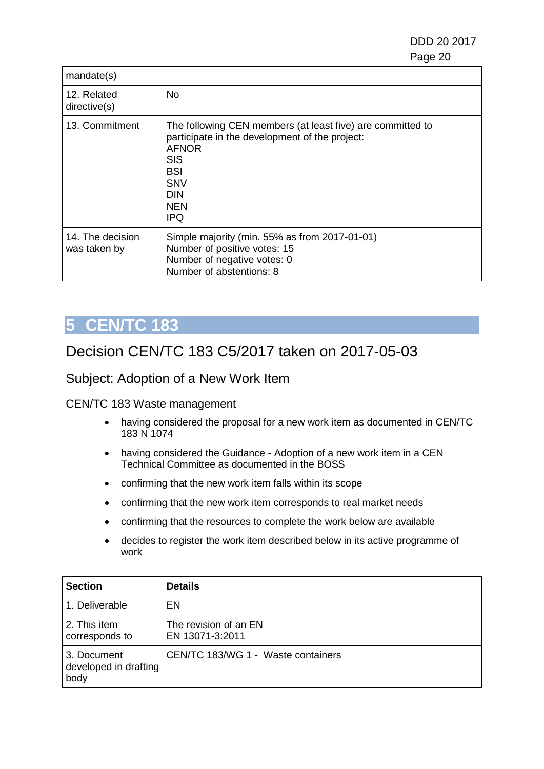| mandate(s)                       |                                                                                                                                                                                                           |
|----------------------------------|-----------------------------------------------------------------------------------------------------------------------------------------------------------------------------------------------------------|
| 12. Related<br>directive(s)      | No                                                                                                                                                                                                        |
| 13. Commitment                   | The following CEN members (at least five) are committed to<br>participate in the development of the project:<br><b>AFNOR</b><br><b>SIS</b><br>BSI<br><b>SNV</b><br><b>DIN</b><br><b>NEN</b><br><b>IPQ</b> |
| 14. The decision<br>was taken by | Simple majority (min. 55% as from 2017-01-01)<br>Number of positive votes: 15<br>Number of negative votes: 0<br>Number of abstentions: 8                                                                  |

# <span id="page-19-0"></span>**5 CEN/TC 183**

# Decision CEN/TC 183 C5/2017 taken on 2017-05-03

#### Subject: Adoption of a New Work Item

#### CEN/TC 183 Waste management

- having considered the proposal for a new work item as documented in CEN/TC 183 N 1074
- having considered the Guidance Adoption of a new work item in a CEN Technical Committee as documented in the BOSS
- confirming that the new work item falls within its scope
- confirming that the new work item corresponds to real market needs
- confirming that the resources to complete the work below are available
- decides to register the work item described below in its active programme of work

| <b>Section</b>                               | <b>Details</b>                           |
|----------------------------------------------|------------------------------------------|
| 1. Deliverable                               | EN                                       |
| 2. This item<br>corresponds to               | The revision of an EN<br>EN 13071-3:2011 |
| 3. Document<br>developed in drafting<br>body | CEN/TC 183/WG 1 - Waste containers       |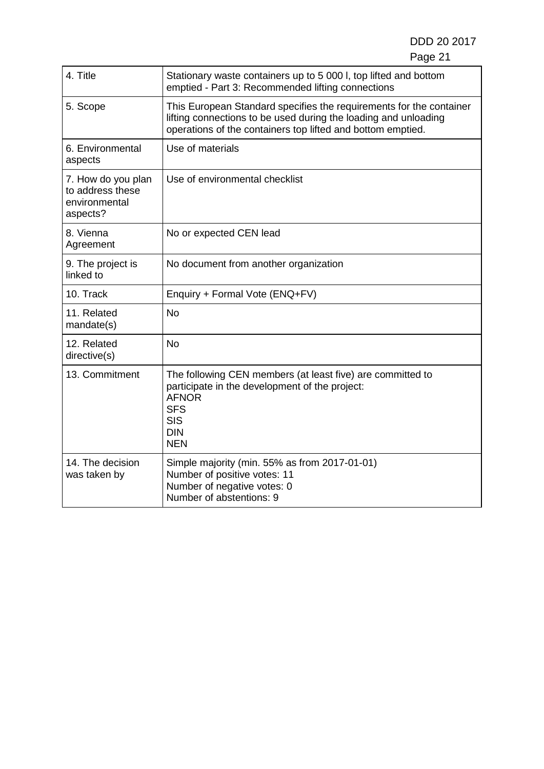| 4. Title                                                            | Stationary waste containers up to 5 000 l, top lifted and bottom<br>emptied - Part 3: Recommended lifting connections                                                                                 |
|---------------------------------------------------------------------|-------------------------------------------------------------------------------------------------------------------------------------------------------------------------------------------------------|
| 5. Scope                                                            | This European Standard specifies the requirements for the container<br>lifting connections to be used during the loading and unloading<br>operations of the containers top lifted and bottom emptied. |
| 6. Environmental<br>aspects                                         | Use of materials                                                                                                                                                                                      |
| 7. How do you plan<br>to address these<br>environmental<br>aspects? | Use of environmental checklist                                                                                                                                                                        |
| 8. Vienna<br>Agreement                                              | No or expected CEN lead                                                                                                                                                                               |
| 9. The project is<br>linked to                                      | No document from another organization                                                                                                                                                                 |
| 10. Track                                                           | Enquiry + Formal Vote (ENQ+FV)                                                                                                                                                                        |
| 11. Related<br>mandate(s)                                           | <b>No</b>                                                                                                                                                                                             |
| 12. Related<br>directive(s)                                         | <b>No</b>                                                                                                                                                                                             |
| 13. Commitment                                                      | The following CEN members (at least five) are committed to<br>participate in the development of the project:<br><b>AFNOR</b><br><b>SFS</b><br><b>SIS</b><br><b>DIN</b><br><b>NEN</b>                  |
| 14. The decision<br>was taken by                                    | Simple majority (min. 55% as from 2017-01-01)<br>Number of positive votes: 11<br>Number of negative votes: 0<br>Number of abstentions: 9                                                              |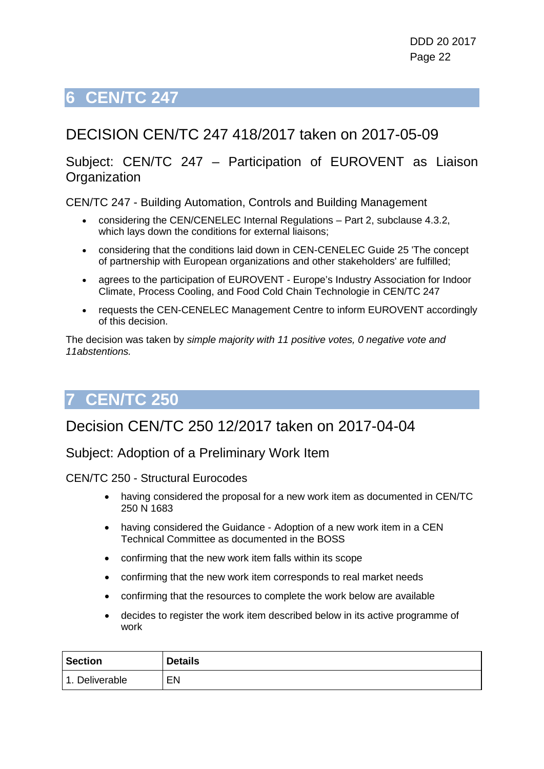# <span id="page-21-0"></span>**6 CEN/TC 247**

# DECISION CEN/TC 247 418/2017 taken on 2017-05-09

#### Subject: CEN/TC 247 – Participation of EUROVENT as Liaison **Organization**

CEN/TC 247 - Building Automation, Controls and Building Management

- considering the CEN/CENELEC Internal Regulations Part 2, subclause 4.3.2, which lays down the conditions for external liaisons;
- considering that the conditions laid down in CEN-CENELEC Guide 25 'The concept of partnership with European organizations and other stakeholders' are fulfilled;
- agrees to the participation of EUROVENT Europe's Industry Association for Indoor Climate, Process Cooling, and Food Cold Chain Technologie in CEN/TC 247
- requests the CEN-CENELEC Management Centre to inform EUROVENT accordingly of this decision.

The decision was taken by *simple majority with 11 positive votes, 0 negative vote and 11abstentions.*

# <span id="page-21-1"></span>**7 CEN/TC 250**

## Decision CEN/TC 250 12/2017 taken on 2017-04-04

#### Subject: Adoption of a Preliminary Work Item

- having considered the proposal for a new work item as documented in CEN/TC 250 N 1683
- having considered the Guidance Adoption of a new work item in a CEN Technical Committee as documented in the BOSS
- confirming that the new work item falls within its scope
- confirming that the new work item corresponds to real market needs
- confirming that the resources to complete the work below are available
- decides to register the work item described below in its active programme of work

| <b>Section</b>             | <b>Details</b> |
|----------------------------|----------------|
| Deliverable<br>$\mathbf 1$ | EN             |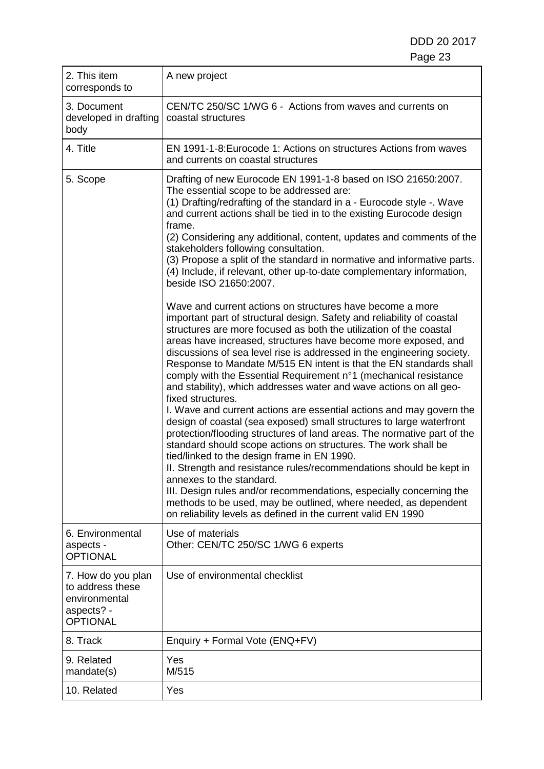| 2. This item<br>corresponds to                                                           | A new project                                                                                                                                                                                                                                                                                                                                                                                                                                                                                                                                                                                                                                                                                                                                                                                                                                                                                                                                                                                                                                                                                                                                                                                                                                        |
|------------------------------------------------------------------------------------------|------------------------------------------------------------------------------------------------------------------------------------------------------------------------------------------------------------------------------------------------------------------------------------------------------------------------------------------------------------------------------------------------------------------------------------------------------------------------------------------------------------------------------------------------------------------------------------------------------------------------------------------------------------------------------------------------------------------------------------------------------------------------------------------------------------------------------------------------------------------------------------------------------------------------------------------------------------------------------------------------------------------------------------------------------------------------------------------------------------------------------------------------------------------------------------------------------------------------------------------------------|
| 3. Document<br>developed in drafting<br>body                                             | CEN/TC 250/SC 1/WG 6 - Actions from waves and currents on<br>coastal structures                                                                                                                                                                                                                                                                                                                                                                                                                                                                                                                                                                                                                                                                                                                                                                                                                                                                                                                                                                                                                                                                                                                                                                      |
| 4. Title                                                                                 | EN 1991-1-8: Eurocode 1: Actions on structures Actions from waves<br>and currents on coastal structures                                                                                                                                                                                                                                                                                                                                                                                                                                                                                                                                                                                                                                                                                                                                                                                                                                                                                                                                                                                                                                                                                                                                              |
| 5. Scope                                                                                 | Drafting of new Eurocode EN 1991-1-8 based on ISO 21650:2007.<br>The essential scope to be addressed are:<br>(1) Drafting/redrafting of the standard in a - Eurocode style -. Wave<br>and current actions shall be tied in to the existing Eurocode design<br>frame.<br>(2) Considering any additional, content, updates and comments of the<br>stakeholders following consultation.<br>(3) Propose a split of the standard in normative and informative parts.<br>(4) Include, if relevant, other up-to-date complementary information,<br>beside ISO 21650:2007.                                                                                                                                                                                                                                                                                                                                                                                                                                                                                                                                                                                                                                                                                   |
|                                                                                          | Wave and current actions on structures have become a more<br>important part of structural design. Safety and reliability of coastal<br>structures are more focused as both the utilization of the coastal<br>areas have increased, structures have become more exposed, and<br>discussions of sea level rise is addressed in the engineering society.<br>Response to Mandate M/515 EN intent is that the EN standards shall<br>comply with the Essential Requirement n°1 (mechanical resistance<br>and stability), which addresses water and wave actions on all geo-<br>fixed structures.<br>I. Wave and current actions are essential actions and may govern the<br>design of coastal (sea exposed) small structures to large waterfront<br>protection/flooding structures of land areas. The normative part of the<br>standard should scope actions on structures. The work shall be<br>tied/linked to the design frame in EN 1990.<br>II. Strength and resistance rules/recommendations should be kept in<br>annexes to the standard.<br>III. Design rules and/or recommendations, especially concerning the<br>methods to be used, may be outlined, where needed, as dependent<br>on reliability levels as defined in the current valid EN 1990 |
| 6. Environmental<br>aspects -<br><b>OPTIONAL</b>                                         | Use of materials<br>Other: CEN/TC 250/SC 1/WG 6 experts                                                                                                                                                                                                                                                                                                                                                                                                                                                                                                                                                                                                                                                                                                                                                                                                                                                                                                                                                                                                                                                                                                                                                                                              |
| 7. How do you plan<br>to address these<br>environmental<br>aspects? -<br><b>OPTIONAL</b> | Use of environmental checklist                                                                                                                                                                                                                                                                                                                                                                                                                                                                                                                                                                                                                                                                                                                                                                                                                                                                                                                                                                                                                                                                                                                                                                                                                       |
| 8. Track                                                                                 | Enquiry + Formal Vote (ENQ+FV)                                                                                                                                                                                                                                                                                                                                                                                                                                                                                                                                                                                                                                                                                                                                                                                                                                                                                                                                                                                                                                                                                                                                                                                                                       |
| 9. Related<br>mandate(s)                                                                 | Yes<br>M/515                                                                                                                                                                                                                                                                                                                                                                                                                                                                                                                                                                                                                                                                                                                                                                                                                                                                                                                                                                                                                                                                                                                                                                                                                                         |
| 10. Related                                                                              | Yes                                                                                                                                                                                                                                                                                                                                                                                                                                                                                                                                                                                                                                                                                                                                                                                                                                                                                                                                                                                                                                                                                                                                                                                                                                                  |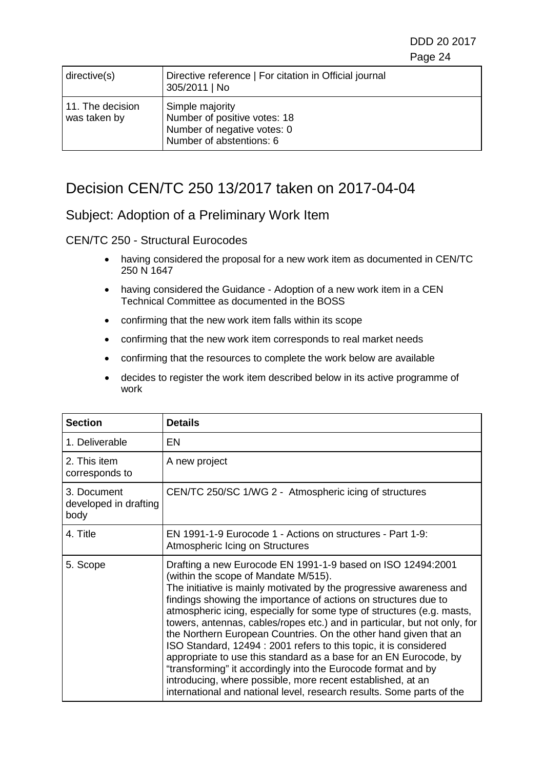| directive(s)                     | Directive reference   For citation in Official journal<br>305/2011   No                                    |
|----------------------------------|------------------------------------------------------------------------------------------------------------|
| 11. The decision<br>was taken by | Simple majority<br>Number of positive votes: 18<br>Number of negative votes: 0<br>Number of abstentions: 6 |

## Decision CEN/TC 250 13/2017 taken on 2017-04-04

#### Subject: Adoption of a Preliminary Work Item

- having considered the proposal for a new work item as documented in CEN/TC 250 N 1647
- having considered the Guidance Adoption of a new work item in a CEN Technical Committee as documented in the BOSS
- confirming that the new work item falls within its scope
- confirming that the new work item corresponds to real market needs
- confirming that the resources to complete the work below are available
- decides to register the work item described below in its active programme of work

| <b>Section</b>                               | <b>Details</b>                                                                                                                                                                                                                                                                                                                                                                                                                                                                                                                                                                                                                                                                                                                                                                                                              |
|----------------------------------------------|-----------------------------------------------------------------------------------------------------------------------------------------------------------------------------------------------------------------------------------------------------------------------------------------------------------------------------------------------------------------------------------------------------------------------------------------------------------------------------------------------------------------------------------------------------------------------------------------------------------------------------------------------------------------------------------------------------------------------------------------------------------------------------------------------------------------------------|
| 1. Deliverable                               | EN                                                                                                                                                                                                                                                                                                                                                                                                                                                                                                                                                                                                                                                                                                                                                                                                                          |
| 2. This item<br>corresponds to               | A new project                                                                                                                                                                                                                                                                                                                                                                                                                                                                                                                                                                                                                                                                                                                                                                                                               |
| 3. Document<br>developed in drafting<br>body | CEN/TC 250/SC 1/WG 2 - Atmospheric icing of structures                                                                                                                                                                                                                                                                                                                                                                                                                                                                                                                                                                                                                                                                                                                                                                      |
| 4. Title                                     | EN 1991-1-9 Eurocode 1 - Actions on structures - Part 1-9:<br>Atmospheric Icing on Structures                                                                                                                                                                                                                                                                                                                                                                                                                                                                                                                                                                                                                                                                                                                               |
| 5. Scope                                     | Drafting a new Eurocode EN 1991-1-9 based on ISO 12494:2001<br>(within the scope of Mandate M/515).<br>The initiative is mainly motivated by the progressive awareness and<br>findings showing the importance of actions on structures due to<br>atmospheric icing, especially for some type of structures (e.g. masts,<br>towers, antennas, cables/ropes etc.) and in particular, but not only, for<br>the Northern European Countries. On the other hand given that an<br>ISO Standard, 12494 : 2001 refers to this topic, it is considered<br>appropriate to use this standard as a base for an EN Eurocode, by<br>"transforming" it accordingly into the Eurocode format and by<br>introducing, where possible, more recent established, at an<br>international and national level, research results. Some parts of the |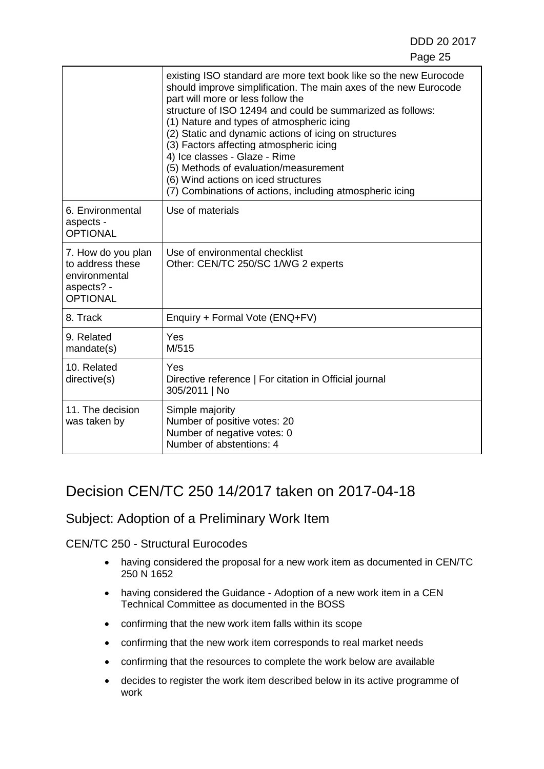|                                                                                          | existing ISO standard are more text book like so the new Eurocode<br>should improve simplification. The main axes of the new Eurocode<br>part will more or less follow the<br>structure of ISO 12494 and could be summarized as follows:<br>(1) Nature and types of atmospheric icing<br>(2) Static and dynamic actions of icing on structures<br>(3) Factors affecting atmospheric icing<br>4) Ice classes - Glaze - Rime<br>(5) Methods of evaluation/measurement<br>(6) Wind actions on iced structures<br>(7) Combinations of actions, including atmospheric icing |
|------------------------------------------------------------------------------------------|------------------------------------------------------------------------------------------------------------------------------------------------------------------------------------------------------------------------------------------------------------------------------------------------------------------------------------------------------------------------------------------------------------------------------------------------------------------------------------------------------------------------------------------------------------------------|
| 6. Environmental<br>aspects -<br><b>OPTIONAL</b>                                         | Use of materials                                                                                                                                                                                                                                                                                                                                                                                                                                                                                                                                                       |
| 7. How do you plan<br>to address these<br>environmental<br>aspects? -<br><b>OPTIONAL</b> | Use of environmental checklist<br>Other: CEN/TC 250/SC 1/WG 2 experts                                                                                                                                                                                                                                                                                                                                                                                                                                                                                                  |
| 8. Track                                                                                 | Enquiry + Formal Vote (ENQ+FV)                                                                                                                                                                                                                                                                                                                                                                                                                                                                                                                                         |
| 9. Related<br>mandate(s)                                                                 | Yes<br>M/515                                                                                                                                                                                                                                                                                                                                                                                                                                                                                                                                                           |
| 10. Related<br>directive(s)                                                              | Yes<br>Directive reference   For citation in Official journal<br>305/2011   No                                                                                                                                                                                                                                                                                                                                                                                                                                                                                         |
| 11. The decision<br>was taken by                                                         | Simple majority<br>Number of positive votes: 20<br>Number of negative votes: 0<br>Number of abstentions: 4                                                                                                                                                                                                                                                                                                                                                                                                                                                             |

## Decision CEN/TC 250 14/2017 taken on 2017-04-18

#### Subject: Adoption of a Preliminary Work Item

- having considered the proposal for a new work item as documented in CEN/TC 250 N 1652
- having considered the Guidance Adoption of a new work item in a CEN Technical Committee as documented in the BOSS
- confirming that the new work item falls within its scope
- confirming that the new work item corresponds to real market needs
- confirming that the resources to complete the work below are available
- decides to register the work item described below in its active programme of work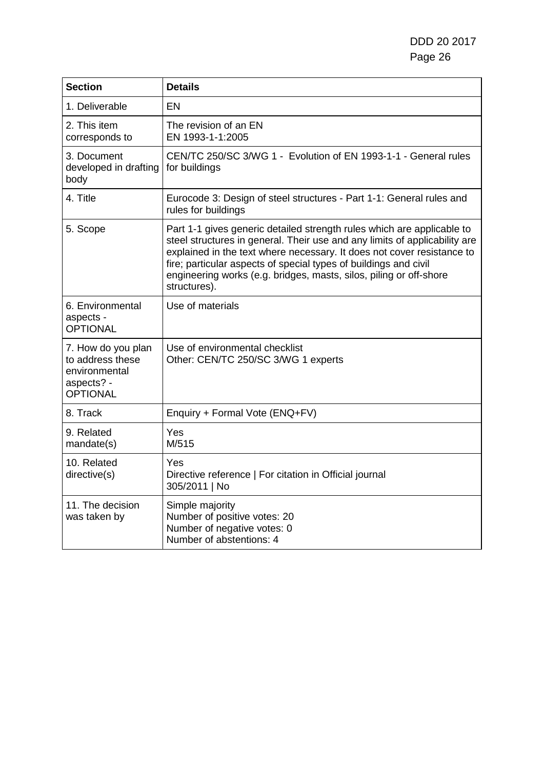| <b>Section</b>                                                                           | <b>Details</b>                                                                                                                                                                                                                                                                                                                                                                           |
|------------------------------------------------------------------------------------------|------------------------------------------------------------------------------------------------------------------------------------------------------------------------------------------------------------------------------------------------------------------------------------------------------------------------------------------------------------------------------------------|
| 1. Deliverable                                                                           | EN                                                                                                                                                                                                                                                                                                                                                                                       |
| 2. This item<br>corresponds to                                                           | The revision of an EN<br>EN 1993-1-1:2005                                                                                                                                                                                                                                                                                                                                                |
| 3. Document<br>developed in drafting<br>body                                             | CEN/TC 250/SC 3/WG 1 - Evolution of EN 1993-1-1 - General rules<br>for buildings                                                                                                                                                                                                                                                                                                         |
| 4. Title                                                                                 | Eurocode 3: Design of steel structures - Part 1-1: General rules and<br>rules for buildings                                                                                                                                                                                                                                                                                              |
| 5. Scope                                                                                 | Part 1-1 gives generic detailed strength rules which are applicable to<br>steel structures in general. Their use and any limits of applicability are<br>explained in the text where necessary. It does not cover resistance to<br>fire; particular aspects of special types of buildings and civil<br>engineering works (e.g. bridges, masts, silos, piling or off-shore<br>structures). |
| 6. Environmental<br>aspects -<br><b>OPTIONAL</b>                                         | Use of materials                                                                                                                                                                                                                                                                                                                                                                         |
| 7. How do you plan<br>to address these<br>environmental<br>aspects? -<br><b>OPTIONAL</b> | Use of environmental checklist<br>Other: CEN/TC 250/SC 3/WG 1 experts                                                                                                                                                                                                                                                                                                                    |
| 8. Track                                                                                 | Enquiry + Formal Vote (ENQ+FV)                                                                                                                                                                                                                                                                                                                                                           |
| 9. Related<br>mandate(s)                                                                 | Yes<br>M/515                                                                                                                                                                                                                                                                                                                                                                             |
| 10. Related<br>directive(s)                                                              | Yes<br>Directive reference   For citation in Official journal<br>305/2011   No                                                                                                                                                                                                                                                                                                           |
| 11. The decision<br>was taken by                                                         | Simple majority<br>Number of positive votes: 20<br>Number of negative votes: 0<br>Number of abstentions: 4                                                                                                                                                                                                                                                                               |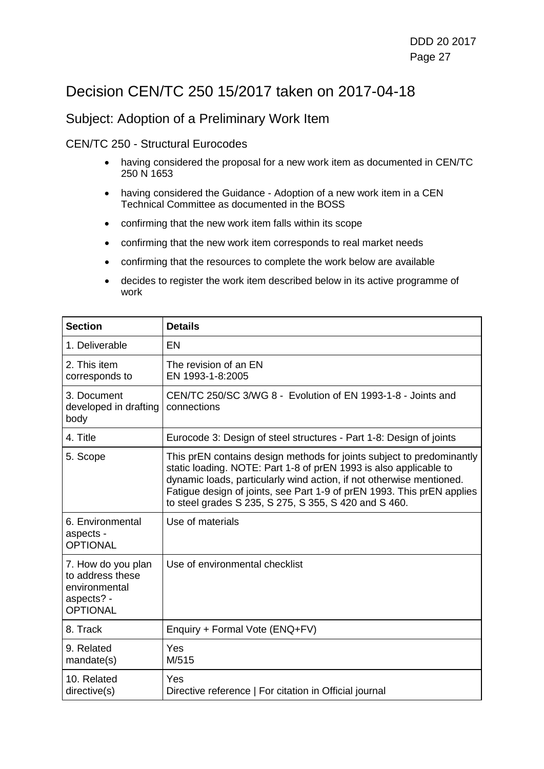# Decision CEN/TC 250 15/2017 taken on 2017-04-18

#### Subject: Adoption of a Preliminary Work Item

- having considered the proposal for a new work item as documented in CEN/TC 250 N 1653
- having considered the Guidance Adoption of a new work item in a CEN Technical Committee as documented in the BOSS
- confirming that the new work item falls within its scope
- confirming that the new work item corresponds to real market needs
- confirming that the resources to complete the work below are available
- decides to register the work item described below in its active programme of work

| <b>Section</b>                                                                           | <b>Details</b>                                                                                                                                                                                                                                                                                                                                        |
|------------------------------------------------------------------------------------------|-------------------------------------------------------------------------------------------------------------------------------------------------------------------------------------------------------------------------------------------------------------------------------------------------------------------------------------------------------|
| 1. Deliverable                                                                           | EN                                                                                                                                                                                                                                                                                                                                                    |
| 2. This item<br>corresponds to                                                           | The revision of an EN<br>EN 1993-1-8:2005                                                                                                                                                                                                                                                                                                             |
| 3. Document<br>developed in drafting<br>body                                             | CEN/TC 250/SC 3/WG 8 - Evolution of EN 1993-1-8 - Joints and<br>connections                                                                                                                                                                                                                                                                           |
| 4. Title                                                                                 | Eurocode 3: Design of steel structures - Part 1-8: Design of joints                                                                                                                                                                                                                                                                                   |
| 5. Scope                                                                                 | This prEN contains design methods for joints subject to predominantly<br>static loading. NOTE: Part 1-8 of prEN 1993 is also applicable to<br>dynamic loads, particularly wind action, if not otherwise mentioned.<br>Fatigue design of joints, see Part 1-9 of prEN 1993. This prEN applies<br>to steel grades S 235, S 275, S 355, S 420 and S 460. |
| 6. Environmental<br>aspects -<br><b>OPTIONAL</b>                                         | Use of materials                                                                                                                                                                                                                                                                                                                                      |
| 7. How do you plan<br>to address these<br>environmental<br>aspects? -<br><b>OPTIONAL</b> | Use of environmental checklist                                                                                                                                                                                                                                                                                                                        |
| 8. Track                                                                                 | Enquiry + Formal Vote (ENQ+FV)                                                                                                                                                                                                                                                                                                                        |
| 9. Related<br>mandate(s)                                                                 | Yes<br>M/515                                                                                                                                                                                                                                                                                                                                          |
| 10. Related<br>directive(s)                                                              | Yes<br>Directive reference   For citation in Official journal                                                                                                                                                                                                                                                                                         |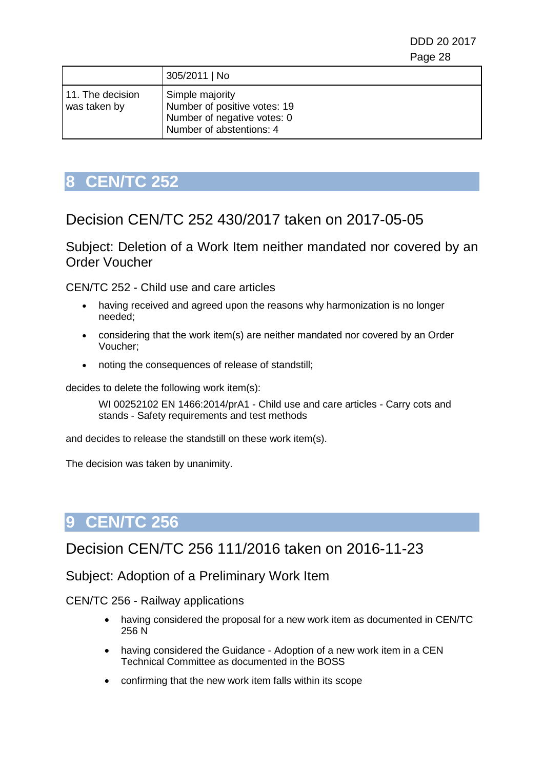|                                  | 305/2011   No                                                                                              |
|----------------------------------|------------------------------------------------------------------------------------------------------------|
| 11. The decision<br>was taken by | Simple majority<br>Number of positive votes: 19<br>Number of negative votes: 0<br>Number of abstentions: 4 |

# <span id="page-27-0"></span>**8 CEN/TC 252**

## Decision CEN/TC 252 430/2017 taken on 2017-05-05

Subject: Deletion of a Work Item neither mandated nor covered by an Order Voucher

CEN/TC 252 - Child use and care articles

- having received and agreed upon the reasons why harmonization is no longer needed;
- considering that the work item(s) are neither mandated nor covered by an Order Voucher;
- noting the consequences of release of standstill;

decides to delete the following work item(s):

WI 00252102 EN 1466:2014/prA1 - Child use and care articles - Carry cots and stands - Safety requirements and test methods

and decides to release the standstill on these work item(s).

The decision was taken by unanimity.

# <span id="page-27-1"></span>**9 CEN/TC 256**

## Decision CEN/TC 256 111/2016 taken on 2016-11-23

Subject: Adoption of a Preliminary Work Item

CEN/TC 256 - Railway applications

- having considered the proposal for a new work item as documented in CEN/TC 256 N
- having considered the Guidance Adoption of a new work item in a CEN Technical Committee as documented in the BOSS
- confirming that the new work item falls within its scope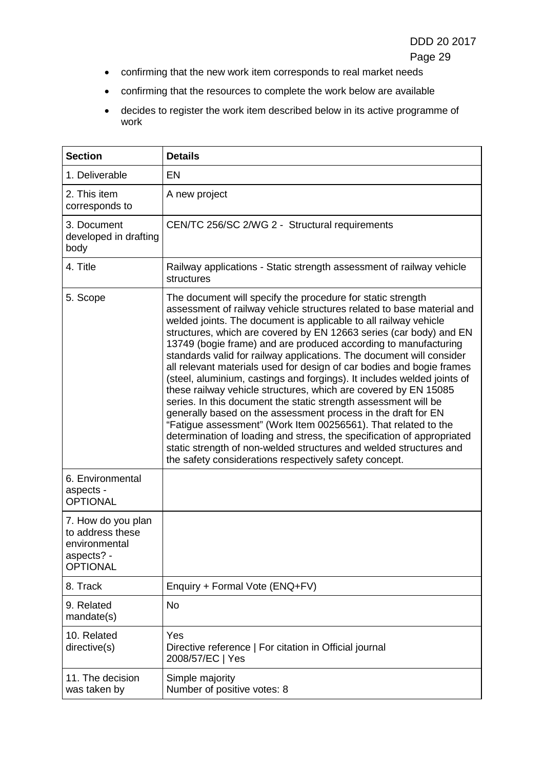- Page 29
- confirming that the new work item corresponds to real market needs
- confirming that the resources to complete the work below are available
- decides to register the work item described below in its active programme of work

| <b>Section</b>                                                                           | <b>Details</b>                                                                                                                                                                                                                                                                                                                                                                                                                                                                                                                                                                                                                                                                                                                                                                                                                                                                                                                                                                                                                                                   |
|------------------------------------------------------------------------------------------|------------------------------------------------------------------------------------------------------------------------------------------------------------------------------------------------------------------------------------------------------------------------------------------------------------------------------------------------------------------------------------------------------------------------------------------------------------------------------------------------------------------------------------------------------------------------------------------------------------------------------------------------------------------------------------------------------------------------------------------------------------------------------------------------------------------------------------------------------------------------------------------------------------------------------------------------------------------------------------------------------------------------------------------------------------------|
| 1. Deliverable                                                                           | <b>EN</b>                                                                                                                                                                                                                                                                                                                                                                                                                                                                                                                                                                                                                                                                                                                                                                                                                                                                                                                                                                                                                                                        |
| 2. This item<br>corresponds to                                                           | A new project                                                                                                                                                                                                                                                                                                                                                                                                                                                                                                                                                                                                                                                                                                                                                                                                                                                                                                                                                                                                                                                    |
| 3. Document<br>developed in drafting<br>body                                             | CEN/TC 256/SC 2/WG 2 - Structural requirements                                                                                                                                                                                                                                                                                                                                                                                                                                                                                                                                                                                                                                                                                                                                                                                                                                                                                                                                                                                                                   |
| 4. Title                                                                                 | Railway applications - Static strength assessment of railway vehicle<br>structures                                                                                                                                                                                                                                                                                                                                                                                                                                                                                                                                                                                                                                                                                                                                                                                                                                                                                                                                                                               |
| 5. Scope                                                                                 | The document will specify the procedure for static strength<br>assessment of railway vehicle structures related to base material and<br>welded joints. The document is applicable to all railway vehicle<br>structures, which are covered by EN 12663 series (car body) and EN<br>13749 (bogie frame) and are produced according to manufacturing<br>standards valid for railway applications. The document will consider<br>all relevant materials used for design of car bodies and bogie frames<br>(steel, aluminium, castings and forgings). It includes welded joints of<br>these railway vehicle structures, which are covered by EN 15085<br>series. In this document the static strength assessment will be<br>generally based on the assessment process in the draft for EN<br>"Fatigue assessment" (Work Item 00256561). That related to the<br>determination of loading and stress, the specification of appropriated<br>static strength of non-welded structures and welded structures and<br>the safety considerations respectively safety concept. |
| 6. Environmental<br>aspects -<br><b>OPTIONAL</b>                                         |                                                                                                                                                                                                                                                                                                                                                                                                                                                                                                                                                                                                                                                                                                                                                                                                                                                                                                                                                                                                                                                                  |
| 7. How do you plan<br>to address these<br>environmental<br>aspects? -<br><b>OPTIONAL</b> |                                                                                                                                                                                                                                                                                                                                                                                                                                                                                                                                                                                                                                                                                                                                                                                                                                                                                                                                                                                                                                                                  |
| 8. Track                                                                                 | Enquiry + Formal Vote (ENQ+FV)                                                                                                                                                                                                                                                                                                                                                                                                                                                                                                                                                                                                                                                                                                                                                                                                                                                                                                                                                                                                                                   |
| 9. Related<br>mandate(s)                                                                 | <b>No</b>                                                                                                                                                                                                                                                                                                                                                                                                                                                                                                                                                                                                                                                                                                                                                                                                                                                                                                                                                                                                                                                        |
| 10. Related<br>directive(s)                                                              | Yes<br>Directive reference   For citation in Official journal<br>2008/57/EC   Yes                                                                                                                                                                                                                                                                                                                                                                                                                                                                                                                                                                                                                                                                                                                                                                                                                                                                                                                                                                                |
| 11. The decision<br>was taken by                                                         | Simple majority<br>Number of positive votes: 8                                                                                                                                                                                                                                                                                                                                                                                                                                                                                                                                                                                                                                                                                                                                                                                                                                                                                                                                                                                                                   |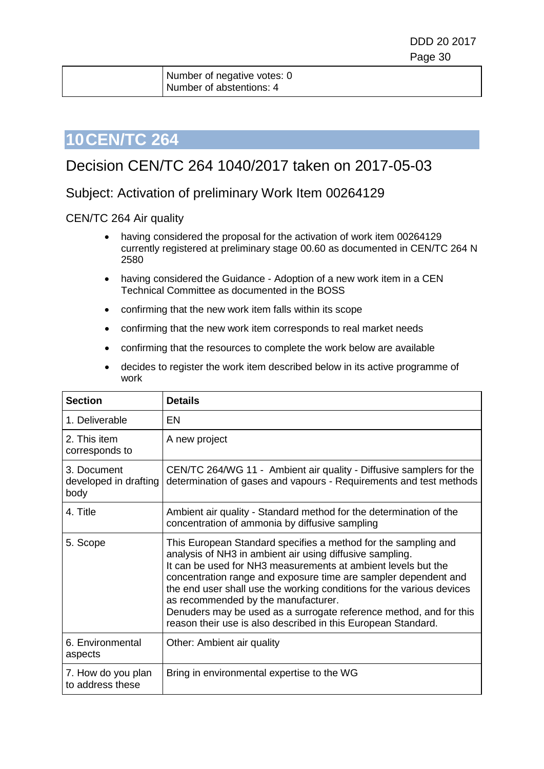# <span id="page-29-0"></span>**10CEN/TC 264**

# Decision CEN/TC 264 1040/2017 taken on 2017-05-03

#### Subject: Activation of preliminary Work Item 00264129

#### CEN/TC 264 Air quality

- having considered the proposal for the activation of work item 00264129 currently registered at preliminary stage 00.60 as documented in CEN/TC 264 N 2580
- having considered the Guidance Adoption of a new work item in a CEN Technical Committee as documented in the BOSS
- confirming that the new work item falls within its scope
- confirming that the new work item corresponds to real market needs
- confirming that the resources to complete the work below are available
- decides to register the work item described below in its active programme of work

| <b>Section</b>                               | <b>Details</b>                                                                                                                                                                                                                                                                                                                                                                                                                                                                                                        |
|----------------------------------------------|-----------------------------------------------------------------------------------------------------------------------------------------------------------------------------------------------------------------------------------------------------------------------------------------------------------------------------------------------------------------------------------------------------------------------------------------------------------------------------------------------------------------------|
| 1. Deliverable                               | EN                                                                                                                                                                                                                                                                                                                                                                                                                                                                                                                    |
| 2. This item<br>corresponds to               | A new project                                                                                                                                                                                                                                                                                                                                                                                                                                                                                                         |
| 3. Document<br>developed in drafting<br>body | CEN/TC 264/WG 11 - Ambient air quality - Diffusive samplers for the<br>determination of gases and vapours - Requirements and test methods                                                                                                                                                                                                                                                                                                                                                                             |
| 4. Title                                     | Ambient air quality - Standard method for the determination of the<br>concentration of ammonia by diffusive sampling                                                                                                                                                                                                                                                                                                                                                                                                  |
| 5. Scope                                     | This European Standard specifies a method for the sampling and<br>analysis of NH3 in ambient air using diffusive sampling.<br>It can be used for NH3 measurements at ambient levels but the<br>concentration range and exposure time are sampler dependent and<br>the end user shall use the working conditions for the various devices<br>as recommended by the manufacturer.<br>Denuders may be used as a surrogate reference method, and for this<br>reason their use is also described in this European Standard. |
| 6. Environmental<br>aspects                  | Other: Ambient air quality                                                                                                                                                                                                                                                                                                                                                                                                                                                                                            |
| 7. How do you plan<br>to address these       | Bring in environmental expertise to the WG                                                                                                                                                                                                                                                                                                                                                                                                                                                                            |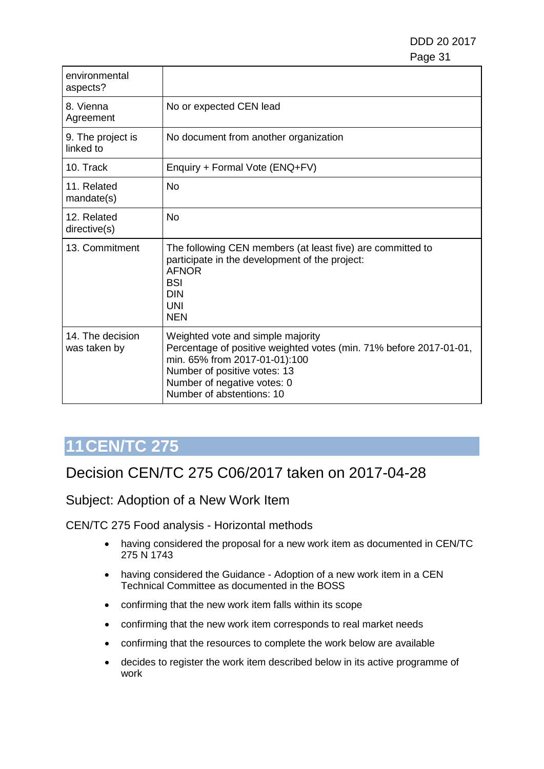| environmental<br>aspects?        |                                                                                                                                                                                                                                      |
|----------------------------------|--------------------------------------------------------------------------------------------------------------------------------------------------------------------------------------------------------------------------------------|
| 8. Vienna<br>Agreement           | No or expected CEN lead                                                                                                                                                                                                              |
| 9. The project is<br>linked to   | No document from another organization                                                                                                                                                                                                |
| 10. Track                        | Enquiry + Formal Vote (ENQ+FV)                                                                                                                                                                                                       |
| 11. Related<br>mandate(s)        | <b>No</b>                                                                                                                                                                                                                            |
| 12. Related<br>directive(s)      | <b>No</b>                                                                                                                                                                                                                            |
| 13. Commitment                   | The following CEN members (at least five) are committed to<br>participate in the development of the project:<br><b>AFNOR</b><br><b>BSI</b><br><b>DIN</b><br><b>UNI</b><br><b>NEN</b>                                                 |
| 14. The decision<br>was taken by | Weighted vote and simple majority<br>Percentage of positive weighted votes (min. 71% before 2017-01-01,<br>min. 65% from 2017-01-01):100<br>Number of positive votes: 13<br>Number of negative votes: 0<br>Number of abstentions: 10 |

# <span id="page-30-0"></span>**11CEN/TC 275**

## Decision CEN/TC 275 C06/2017 taken on 2017-04-28

Subject: Adoption of a New Work Item

- having considered the proposal for a new work item as documented in CEN/TC 275 N 1743
- having considered the Guidance Adoption of a new work item in a CEN Technical Committee as documented in the BOSS
- confirming that the new work item falls within its scope
- confirming that the new work item corresponds to real market needs
- confirming that the resources to complete the work below are available
- decides to register the work item described below in its active programme of work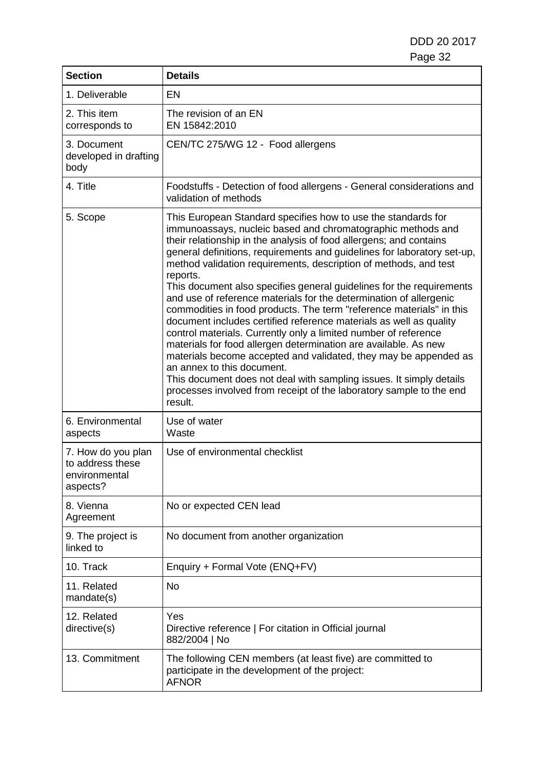| <b>Section</b>                                                      | <b>Details</b>                                                                                                                                                                                                                                                                                                                                                                                                                                                                                                                                                                                                                                                                                                                                                                                                                                                                                                                                                                                                                                             |
|---------------------------------------------------------------------|------------------------------------------------------------------------------------------------------------------------------------------------------------------------------------------------------------------------------------------------------------------------------------------------------------------------------------------------------------------------------------------------------------------------------------------------------------------------------------------------------------------------------------------------------------------------------------------------------------------------------------------------------------------------------------------------------------------------------------------------------------------------------------------------------------------------------------------------------------------------------------------------------------------------------------------------------------------------------------------------------------------------------------------------------------|
| 1. Deliverable                                                      | EN                                                                                                                                                                                                                                                                                                                                                                                                                                                                                                                                                                                                                                                                                                                                                                                                                                                                                                                                                                                                                                                         |
| 2. This item<br>corresponds to                                      | The revision of an EN<br>EN 15842:2010                                                                                                                                                                                                                                                                                                                                                                                                                                                                                                                                                                                                                                                                                                                                                                                                                                                                                                                                                                                                                     |
| 3. Document<br>developed in drafting<br>body                        | CEN/TC 275/WG 12 - Food allergens                                                                                                                                                                                                                                                                                                                                                                                                                                                                                                                                                                                                                                                                                                                                                                                                                                                                                                                                                                                                                          |
| 4. Title                                                            | Foodstuffs - Detection of food allergens - General considerations and<br>validation of methods                                                                                                                                                                                                                                                                                                                                                                                                                                                                                                                                                                                                                                                                                                                                                                                                                                                                                                                                                             |
| 5. Scope                                                            | This European Standard specifies how to use the standards for<br>immunoassays, nucleic based and chromatographic methods and<br>their relationship in the analysis of food allergens; and contains<br>general definitions, requirements and guidelines for laboratory set-up,<br>method validation requirements, description of methods, and test<br>reports.<br>This document also specifies general guidelines for the requirements<br>and use of reference materials for the determination of allergenic<br>commodities in food products. The term "reference materials" in this<br>document includes certified reference materials as well as quality<br>control materials. Currently only a limited number of reference<br>materials for food allergen determination are available. As new<br>materials become accepted and validated, they may be appended as<br>an annex to this document.<br>This document does not deal with sampling issues. It simply details<br>processes involved from receipt of the laboratory sample to the end<br>result. |
| 6. Environmental<br>aspects                                         | Use of water<br>Waste                                                                                                                                                                                                                                                                                                                                                                                                                                                                                                                                                                                                                                                                                                                                                                                                                                                                                                                                                                                                                                      |
| 7. How do you plan<br>to address these<br>environmental<br>aspects? | Use of environmental checklist                                                                                                                                                                                                                                                                                                                                                                                                                                                                                                                                                                                                                                                                                                                                                                                                                                                                                                                                                                                                                             |
| 8. Vienna<br>Agreement                                              | No or expected CEN lead                                                                                                                                                                                                                                                                                                                                                                                                                                                                                                                                                                                                                                                                                                                                                                                                                                                                                                                                                                                                                                    |
| 9. The project is<br>linked to                                      | No document from another organization                                                                                                                                                                                                                                                                                                                                                                                                                                                                                                                                                                                                                                                                                                                                                                                                                                                                                                                                                                                                                      |
| 10. Track                                                           | Enquiry + Formal Vote (ENQ+FV)                                                                                                                                                                                                                                                                                                                                                                                                                                                                                                                                                                                                                                                                                                                                                                                                                                                                                                                                                                                                                             |
| 11. Related<br>mandate(s)                                           | <b>No</b>                                                                                                                                                                                                                                                                                                                                                                                                                                                                                                                                                                                                                                                                                                                                                                                                                                                                                                                                                                                                                                                  |
| 12. Related<br>directive(s)                                         | Yes<br>Directive reference   For citation in Official journal<br>882/2004   No                                                                                                                                                                                                                                                                                                                                                                                                                                                                                                                                                                                                                                                                                                                                                                                                                                                                                                                                                                             |
| 13. Commitment                                                      | The following CEN members (at least five) are committed to<br>participate in the development of the project:<br><b>AFNOR</b>                                                                                                                                                                                                                                                                                                                                                                                                                                                                                                                                                                                                                                                                                                                                                                                                                                                                                                                               |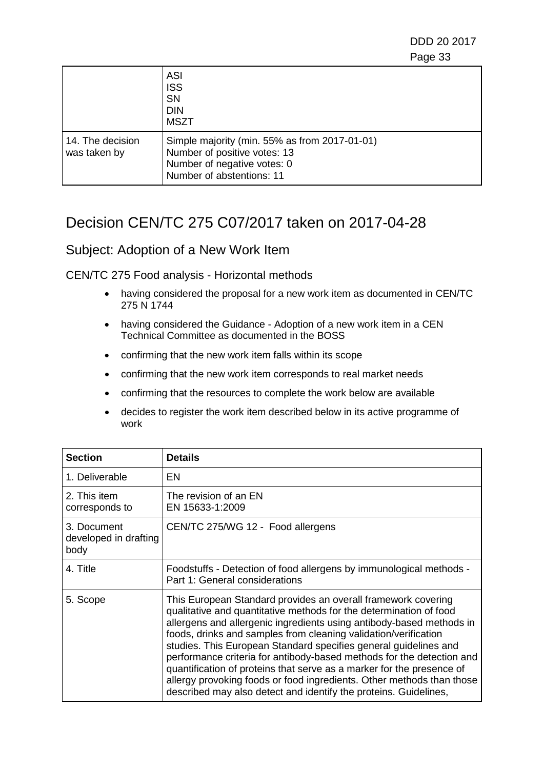|                                  | <b>ASI</b><br><b>ISS</b><br><b>SN</b><br><b>DIN</b><br><b>MSZT</b>                                                                        |
|----------------------------------|-------------------------------------------------------------------------------------------------------------------------------------------|
| 14. The decision<br>was taken by | Simple majority (min. 55% as from 2017-01-01)<br>Number of positive votes: 13<br>Number of negative votes: 0<br>Number of abstentions: 11 |

# Decision CEN/TC 275 C07/2017 taken on 2017-04-28

#### Subject: Adoption of a New Work Item

- having considered the proposal for a new work item as documented in CEN/TC 275 N 1744
- having considered the Guidance Adoption of a new work item in a CEN Technical Committee as documented in the BOSS
- confirming that the new work item falls within its scope
- confirming that the new work item corresponds to real market needs
- confirming that the resources to complete the work below are available
- decides to register the work item described below in its active programme of work

| <b>Section</b>                               | <b>Details</b>                                                                                                                                                                                                                                                                                                                                                                                                                                                                                                                                                                                                                                    |
|----------------------------------------------|---------------------------------------------------------------------------------------------------------------------------------------------------------------------------------------------------------------------------------------------------------------------------------------------------------------------------------------------------------------------------------------------------------------------------------------------------------------------------------------------------------------------------------------------------------------------------------------------------------------------------------------------------|
| 1. Deliverable                               | EN                                                                                                                                                                                                                                                                                                                                                                                                                                                                                                                                                                                                                                                |
| 2. This item<br>corresponds to               | The revision of an EN<br>EN 15633-1:2009                                                                                                                                                                                                                                                                                                                                                                                                                                                                                                                                                                                                          |
| 3. Document<br>developed in drafting<br>body | CEN/TC 275/WG 12 - Food allergens                                                                                                                                                                                                                                                                                                                                                                                                                                                                                                                                                                                                                 |
| 4. Title                                     | Foodstuffs - Detection of food allergens by immunological methods -<br>Part 1: General considerations                                                                                                                                                                                                                                                                                                                                                                                                                                                                                                                                             |
| 5. Scope                                     | This European Standard provides an overall framework covering<br>qualitative and quantitative methods for the determination of food<br>allergens and allergenic ingredients using antibody-based methods in<br>foods, drinks and samples from cleaning validation/verification<br>studies. This European Standard specifies general guidelines and<br>performance criteria for antibody-based methods for the detection and<br>quantification of proteins that serve as a marker for the presence of<br>allergy provoking foods or food ingredients. Other methods than those<br>described may also detect and identify the proteins. Guidelines, |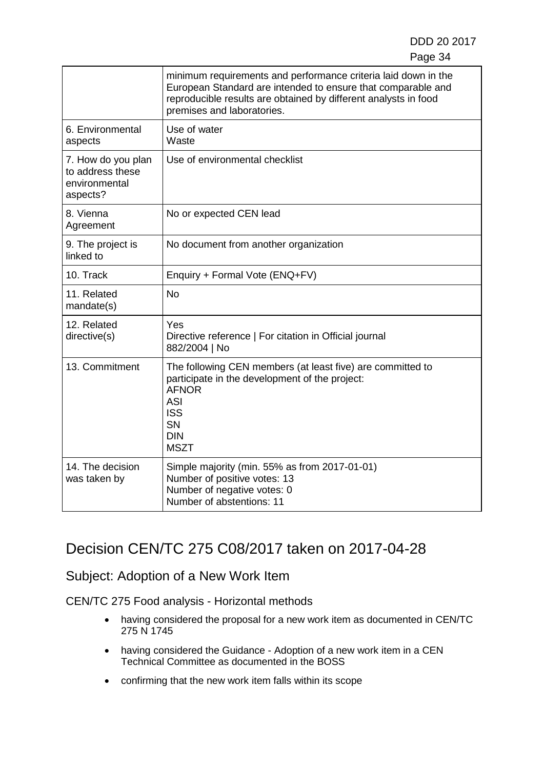|                                                                     | minimum requirements and performance criteria laid down in the<br>European Standard are intended to ensure that comparable and<br>reproducible results are obtained by different analysts in food<br>premises and laboratories. |
|---------------------------------------------------------------------|---------------------------------------------------------------------------------------------------------------------------------------------------------------------------------------------------------------------------------|
| 6. Environmental<br>aspects                                         | Use of water<br>Waste                                                                                                                                                                                                           |
| 7. How do you plan<br>to address these<br>environmental<br>aspects? | Use of environmental checklist                                                                                                                                                                                                  |
| 8. Vienna<br>Agreement                                              | No or expected CEN lead                                                                                                                                                                                                         |
| 9. The project is<br>linked to                                      | No document from another organization                                                                                                                                                                                           |
| 10. Track                                                           | Enquiry + Formal Vote (ENQ+FV)                                                                                                                                                                                                  |
| 11. Related<br>mandate(s)                                           | No                                                                                                                                                                                                                              |
| 12. Related<br>directive(s)                                         | Yes<br>Directive reference   For citation in Official journal<br>882/2004   No                                                                                                                                                  |
| 13. Commitment                                                      | The following CEN members (at least five) are committed to<br>participate in the development of the project:<br><b>AFNOR</b><br><b>ASI</b><br><b>ISS</b><br><b>SN</b><br><b>DIN</b><br><b>MSZT</b>                              |
| 14. The decision<br>was taken by                                    | Simple majority (min. 55% as from 2017-01-01)<br>Number of positive votes: 13<br>Number of negative votes: 0<br>Number of abstentions: 11                                                                                       |

# Decision CEN/TC 275 C08/2017 taken on 2017-04-28

### Subject: Adoption of a New Work Item

- having considered the proposal for a new work item as documented in CEN/TC 275 N 1745
- having considered the Guidance Adoption of a new work item in a CEN Technical Committee as documented in the BOSS
- confirming that the new work item falls within its scope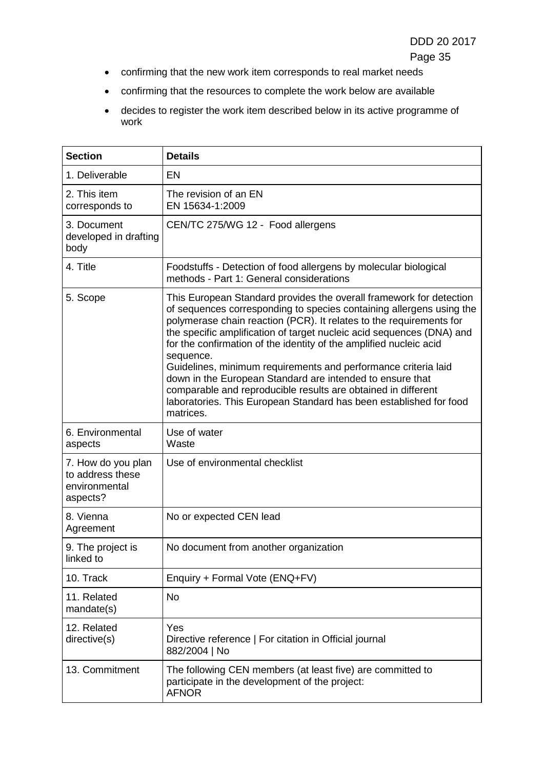- confirming that the new work item corresponds to real market needs
- confirming that the resources to complete the work below are available
- decides to register the work item described below in its active programme of work

| <b>Section</b>                                                      | <b>Details</b>                                                                                                                                                                                                                                                                                                                                                                                                                                                                                                                                                                                                                                                    |
|---------------------------------------------------------------------|-------------------------------------------------------------------------------------------------------------------------------------------------------------------------------------------------------------------------------------------------------------------------------------------------------------------------------------------------------------------------------------------------------------------------------------------------------------------------------------------------------------------------------------------------------------------------------------------------------------------------------------------------------------------|
| 1. Deliverable                                                      | <b>EN</b>                                                                                                                                                                                                                                                                                                                                                                                                                                                                                                                                                                                                                                                         |
| 2. This item<br>corresponds to                                      | The revision of an EN<br>EN 15634-1:2009                                                                                                                                                                                                                                                                                                                                                                                                                                                                                                                                                                                                                          |
| 3. Document<br>developed in drafting<br>body                        | CEN/TC 275/WG 12 - Food allergens                                                                                                                                                                                                                                                                                                                                                                                                                                                                                                                                                                                                                                 |
| 4. Title                                                            | Foodstuffs - Detection of food allergens by molecular biological<br>methods - Part 1: General considerations                                                                                                                                                                                                                                                                                                                                                                                                                                                                                                                                                      |
| 5. Scope                                                            | This European Standard provides the overall framework for detection<br>of sequences corresponding to species containing allergens using the<br>polymerase chain reaction (PCR). It relates to the requirements for<br>the specific amplification of target nucleic acid sequences (DNA) and<br>for the confirmation of the identity of the amplified nucleic acid<br>sequence.<br>Guidelines, minimum requirements and performance criteria laid<br>down in the European Standard are intended to ensure that<br>comparable and reproducible results are obtained in different<br>laboratories. This European Standard has been established for food<br>matrices. |
| 6. Environmental<br>aspects                                         | Use of water<br>Waste                                                                                                                                                                                                                                                                                                                                                                                                                                                                                                                                                                                                                                             |
| 7. How do you plan<br>to address these<br>environmental<br>aspects? | Use of environmental checklist                                                                                                                                                                                                                                                                                                                                                                                                                                                                                                                                                                                                                                    |
| 8. Vienna<br>Agreement                                              | No or expected CEN lead                                                                                                                                                                                                                                                                                                                                                                                                                                                                                                                                                                                                                                           |
| 9. The project is<br>linked to                                      | No document from another organization                                                                                                                                                                                                                                                                                                                                                                                                                                                                                                                                                                                                                             |
| 10. Track                                                           | Enquiry + Formal Vote (ENQ+FV)                                                                                                                                                                                                                                                                                                                                                                                                                                                                                                                                                                                                                                    |
| 11. Related<br>mandate(s)                                           | No                                                                                                                                                                                                                                                                                                                                                                                                                                                                                                                                                                                                                                                                |
| 12. Related<br>directive(s)                                         | Yes<br>Directive reference   For citation in Official journal<br>882/2004   No                                                                                                                                                                                                                                                                                                                                                                                                                                                                                                                                                                                    |
| 13. Commitment                                                      | The following CEN members (at least five) are committed to<br>participate in the development of the project:<br><b>AFNOR</b>                                                                                                                                                                                                                                                                                                                                                                                                                                                                                                                                      |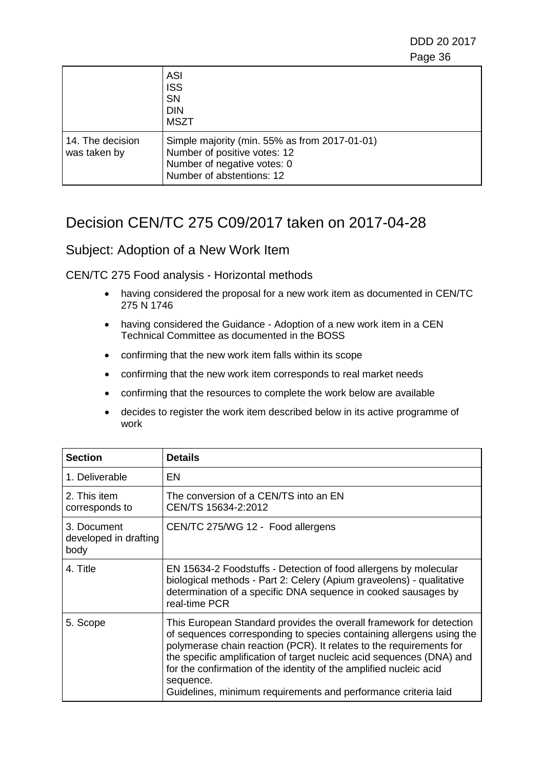|                                  | ASI<br><b>ISS</b><br><b>SN</b><br><b>DIN</b><br><b>MSZT</b>                                                                               |
|----------------------------------|-------------------------------------------------------------------------------------------------------------------------------------------|
| 14. The decision<br>was taken by | Simple majority (min. 55% as from 2017-01-01)<br>Number of positive votes: 12<br>Number of negative votes: 0<br>Number of abstentions: 12 |

## Decision CEN/TC 275 C09/2017 taken on 2017-04-28

#### Subject: Adoption of a New Work Item

- having considered the proposal for a new work item as documented in CEN/TC 275 N 1746
- having considered the Guidance Adoption of a new work item in a CEN Technical Committee as documented in the BOSS
- confirming that the new work item falls within its scope
- confirming that the new work item corresponds to real market needs
- confirming that the resources to complete the work below are available
- decides to register the work item described below in its active programme of work

| <b>Section</b>                               | <b>Details</b>                                                                                                                                                                                                                                                                                                                                                                                                                                   |
|----------------------------------------------|--------------------------------------------------------------------------------------------------------------------------------------------------------------------------------------------------------------------------------------------------------------------------------------------------------------------------------------------------------------------------------------------------------------------------------------------------|
| 1. Deliverable                               | EN                                                                                                                                                                                                                                                                                                                                                                                                                                               |
| 2. This item<br>corresponds to               | The conversion of a CEN/TS into an EN<br>CEN/TS 15634-2:2012                                                                                                                                                                                                                                                                                                                                                                                     |
| 3. Document<br>developed in drafting<br>body | CEN/TC 275/WG 12 - Food allergens                                                                                                                                                                                                                                                                                                                                                                                                                |
| 4. Title                                     | EN 15634-2 Foodstuffs - Detection of food allergens by molecular<br>biological methods - Part 2: Celery (Apium graveolens) - qualitative<br>determination of a specific DNA sequence in cooked sausages by<br>real-time PCR                                                                                                                                                                                                                      |
| 5. Scope                                     | This European Standard provides the overall framework for detection<br>of sequences corresponding to species containing allergens using the<br>polymerase chain reaction (PCR). It relates to the requirements for<br>the specific amplification of target nucleic acid sequences (DNA) and<br>for the confirmation of the identity of the amplified nucleic acid<br>sequence.<br>Guidelines, minimum requirements and performance criteria laid |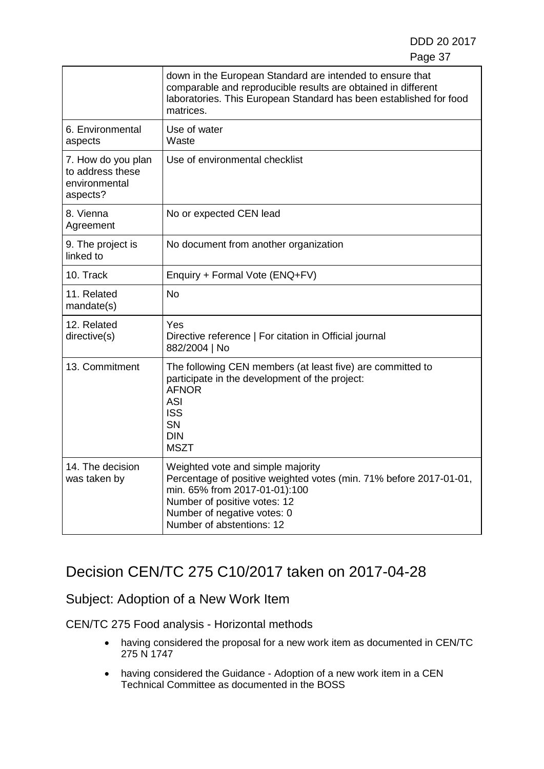|                                                                     | down in the European Standard are intended to ensure that<br>comparable and reproducible results are obtained in different<br>laboratories. This European Standard has been established for food<br>matrices.                        |
|---------------------------------------------------------------------|--------------------------------------------------------------------------------------------------------------------------------------------------------------------------------------------------------------------------------------|
| 6. Environmental<br>aspects                                         | Use of water<br>Waste                                                                                                                                                                                                                |
| 7. How do you plan<br>to address these<br>environmental<br>aspects? | Use of environmental checklist                                                                                                                                                                                                       |
| 8. Vienna<br>Agreement                                              | No or expected CEN lead                                                                                                                                                                                                              |
| 9. The project is<br>linked to                                      | No document from another organization                                                                                                                                                                                                |
| 10. Track                                                           | Enquiry + Formal Vote (ENQ+FV)                                                                                                                                                                                                       |
| 11. Related<br>mandate(s)                                           | <b>No</b>                                                                                                                                                                                                                            |
| 12. Related<br>directive(s)                                         | Yes<br>Directive reference   For citation in Official journal<br>882/2004   No                                                                                                                                                       |
| 13. Commitment                                                      | The following CEN members (at least five) are committed to<br>participate in the development of the project:<br><b>AFNOR</b><br><b>ASI</b><br><b>ISS</b><br><b>SN</b><br><b>DIN</b><br><b>MSZT</b>                                   |
| 14. The decision<br>was taken by                                    | Weighted vote and simple majority<br>Percentage of positive weighted votes (min. 71% before 2017-01-01,<br>min. 65% from 2017-01-01):100<br>Number of positive votes: 12<br>Number of negative votes: 0<br>Number of abstentions: 12 |

# Decision CEN/TC 275 C10/2017 taken on 2017-04-28

## Subject: Adoption of a New Work Item

- having considered the proposal for a new work item as documented in CEN/TC 275 N 1747
- having considered the Guidance Adoption of a new work item in a CEN Technical Committee as documented in the BOSS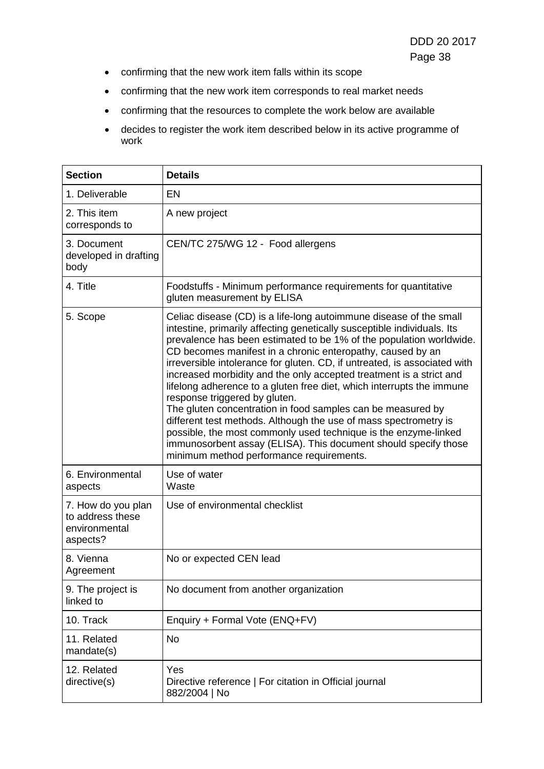- confirming that the new work item falls within its scope
- confirming that the new work item corresponds to real market needs
- confirming that the resources to complete the work below are available
- decides to register the work item described below in its active programme of work

| <b>Section</b>                                                      | <b>Details</b>                                                                                                                                                                                                                                                                                                                                                                                                                                                                                                                                                                                                                                                                                                                                                                                                                                                        |
|---------------------------------------------------------------------|-----------------------------------------------------------------------------------------------------------------------------------------------------------------------------------------------------------------------------------------------------------------------------------------------------------------------------------------------------------------------------------------------------------------------------------------------------------------------------------------------------------------------------------------------------------------------------------------------------------------------------------------------------------------------------------------------------------------------------------------------------------------------------------------------------------------------------------------------------------------------|
| 1. Deliverable                                                      | EN                                                                                                                                                                                                                                                                                                                                                                                                                                                                                                                                                                                                                                                                                                                                                                                                                                                                    |
| 2. This item<br>corresponds to                                      | A new project                                                                                                                                                                                                                                                                                                                                                                                                                                                                                                                                                                                                                                                                                                                                                                                                                                                         |
| 3. Document<br>developed in drafting<br>body                        | CEN/TC 275/WG 12 - Food allergens                                                                                                                                                                                                                                                                                                                                                                                                                                                                                                                                                                                                                                                                                                                                                                                                                                     |
| 4. Title                                                            | Foodstuffs - Minimum performance requirements for quantitative<br>gluten measurement by ELISA                                                                                                                                                                                                                                                                                                                                                                                                                                                                                                                                                                                                                                                                                                                                                                         |
| 5. Scope                                                            | Celiac disease (CD) is a life-long autoimmune disease of the small<br>intestine, primarily affecting genetically susceptible individuals. Its<br>prevalence has been estimated to be 1% of the population worldwide.<br>CD becomes manifest in a chronic enteropathy, caused by an<br>irreversible intolerance for gluten. CD, if untreated, is associated with<br>increased morbidity and the only accepted treatment is a strict and<br>lifelong adherence to a gluten free diet, which interrupts the immune<br>response triggered by gluten.<br>The gluten concentration in food samples can be measured by<br>different test methods. Although the use of mass spectrometry is<br>possible, the most commonly used technique is the enzyme-linked<br>immunosorbent assay (ELISA). This document should specify those<br>minimum method performance requirements. |
| 6. Environmental<br>aspects                                         | Use of water<br>Waste                                                                                                                                                                                                                                                                                                                                                                                                                                                                                                                                                                                                                                                                                                                                                                                                                                                 |
| 7. How do you plan<br>to address these<br>environmental<br>aspects? | Use of environmental checklist                                                                                                                                                                                                                                                                                                                                                                                                                                                                                                                                                                                                                                                                                                                                                                                                                                        |
| 8. Vienna<br>Agreement                                              | No or expected CEN lead                                                                                                                                                                                                                                                                                                                                                                                                                                                                                                                                                                                                                                                                                                                                                                                                                                               |
| 9. The project is<br>linked to                                      | No document from another organization                                                                                                                                                                                                                                                                                                                                                                                                                                                                                                                                                                                                                                                                                                                                                                                                                                 |
| 10. Track                                                           | Enquiry + Formal Vote (ENQ+FV)                                                                                                                                                                                                                                                                                                                                                                                                                                                                                                                                                                                                                                                                                                                                                                                                                                        |
| 11. Related<br>mandate(s)                                           | No                                                                                                                                                                                                                                                                                                                                                                                                                                                                                                                                                                                                                                                                                                                                                                                                                                                                    |
| 12. Related<br>directive(s)                                         | Yes<br>Directive reference   For citation in Official journal<br>882/2004   No                                                                                                                                                                                                                                                                                                                                                                                                                                                                                                                                                                                                                                                                                                                                                                                        |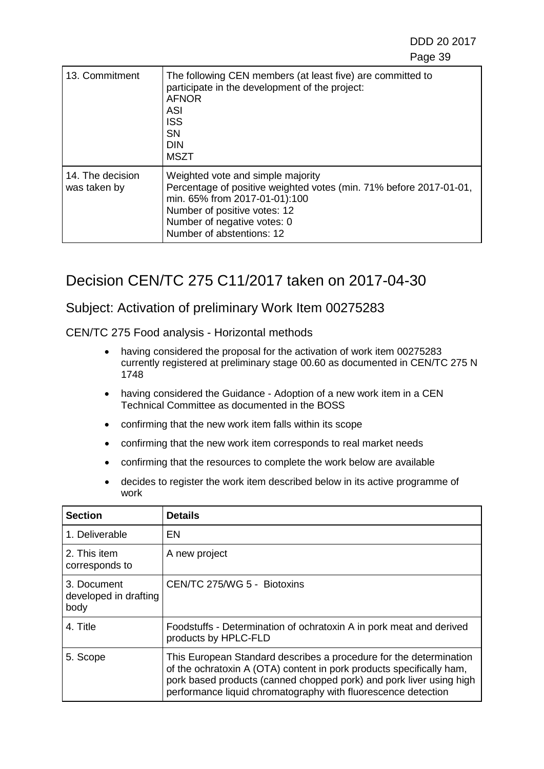| 13. Commitment                   | The following CEN members (at least five) are committed to<br>participate in the development of the project:<br><b>AFNOR</b><br><b>ASI</b><br><b>ISS</b><br><b>SN</b><br><b>DIN</b><br><b>MSZT</b>                                   |
|----------------------------------|--------------------------------------------------------------------------------------------------------------------------------------------------------------------------------------------------------------------------------------|
| 14. The decision<br>was taken by | Weighted vote and simple majority<br>Percentage of positive weighted votes (min. 71% before 2017-01-01,<br>min. 65% from 2017-01-01):100<br>Number of positive votes: 12<br>Number of negative votes: 0<br>Number of abstentions: 12 |

## Decision CEN/TC 275 C11/2017 taken on 2017-04-30

#### Subject: Activation of preliminary Work Item 00275283

- having considered the proposal for the activation of work item 00275283 currently registered at preliminary stage 00.60 as documented in CEN/TC 275 N 1748
- having considered the Guidance Adoption of a new work item in a CEN Technical Committee as documented in the BOSS
- confirming that the new work item falls within its scope
- confirming that the new work item corresponds to real market needs
- confirming that the resources to complete the work below are available
- decides to register the work item described below in its active programme of work

| <b>Section</b>                               | <b>Details</b>                                                                                                                                                                                                                                                                     |
|----------------------------------------------|------------------------------------------------------------------------------------------------------------------------------------------------------------------------------------------------------------------------------------------------------------------------------------|
| 1. Deliverable                               | EN                                                                                                                                                                                                                                                                                 |
| 2. This item<br>corresponds to               | A new project                                                                                                                                                                                                                                                                      |
| 3. Document<br>developed in drafting<br>body | CEN/TC 275/WG 5 - Biotoxins                                                                                                                                                                                                                                                        |
| 4. Title                                     | Foodstuffs - Determination of ochratoxin A in pork meat and derived<br>products by HPLC-FLD                                                                                                                                                                                        |
| 5. Scope                                     | This European Standard describes a procedure for the determination<br>of the ochratoxin A (OTA) content in pork products specifically ham,<br>pork based products (canned chopped pork) and pork liver using high<br>performance liquid chromatography with fluorescence detection |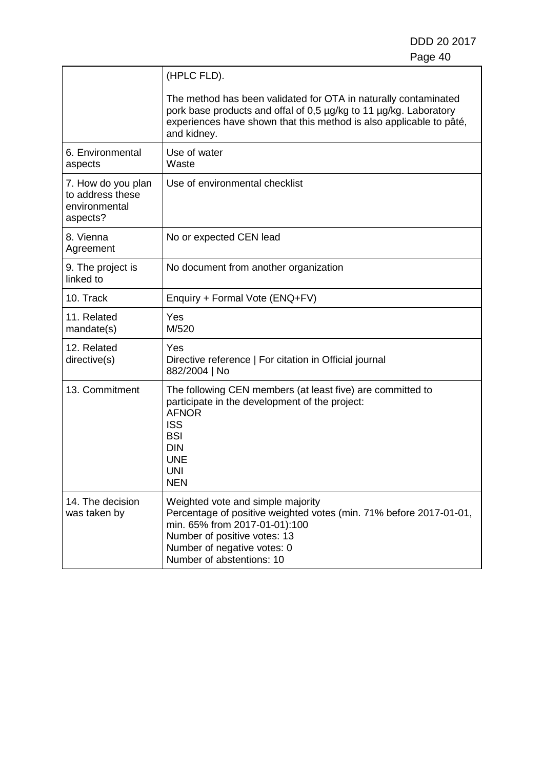|                                                                     | (HPLC FLD).                                                                                                                                                                                                                          |
|---------------------------------------------------------------------|--------------------------------------------------------------------------------------------------------------------------------------------------------------------------------------------------------------------------------------|
|                                                                     | The method has been validated for OTA in naturally contaminated<br>pork base products and offal of 0,5 µg/kg to 11 µg/kg. Laboratory<br>experiences have shown that this method is also applicable to pâté,<br>and kidney.           |
| 6. Environmental<br>aspects                                         | Use of water<br>Waste                                                                                                                                                                                                                |
| 7. How do you plan<br>to address these<br>environmental<br>aspects? | Use of environmental checklist                                                                                                                                                                                                       |
| 8. Vienna<br>Agreement                                              | No or expected CEN lead                                                                                                                                                                                                              |
| 9. The project is<br>linked to                                      | No document from another organization                                                                                                                                                                                                |
| 10. Track                                                           | Enquiry + Formal Vote (ENQ+FV)                                                                                                                                                                                                       |
| 11. Related<br>mandate(s)                                           | Yes<br>M/520                                                                                                                                                                                                                         |
| 12. Related<br>directive(s)                                         | Yes<br>Directive reference   For citation in Official journal<br>882/2004   No                                                                                                                                                       |
| 13. Commitment                                                      | The following CEN members (at least five) are committed to<br>participate in the development of the project:<br><b>AFNOR</b><br><b>ISS</b><br><b>BSI</b><br><b>DIN</b><br><b>UNE</b><br><b>UNI</b><br><b>NEN</b>                     |
| 14. The decision<br>was taken by                                    | Weighted vote and simple majority<br>Percentage of positive weighted votes (min. 71% before 2017-01-01,<br>min. 65% from 2017-01-01):100<br>Number of positive votes: 13<br>Number of negative votes: 0<br>Number of abstentions: 10 |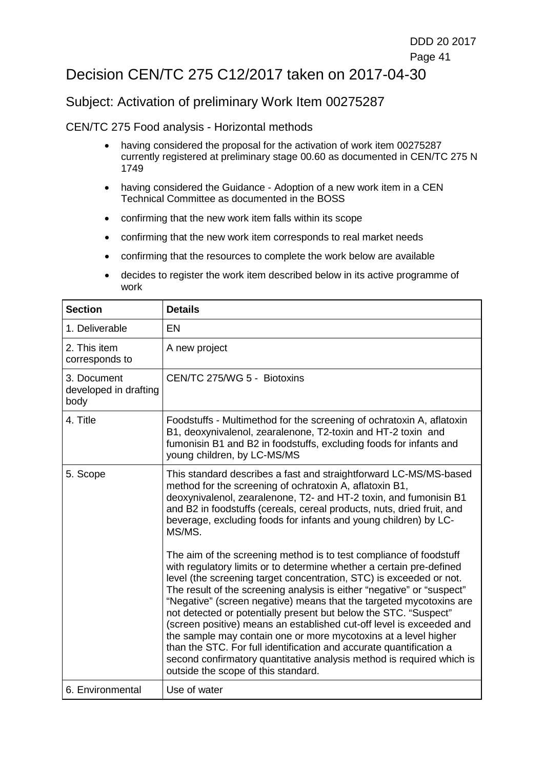## Decision CEN/TC 275 C12/2017 taken on 2017-04-30

#### Subject: Activation of preliminary Work Item 00275287

- having considered the proposal for the activation of work item 00275287 currently registered at preliminary stage 00.60 as documented in CEN/TC 275 N 1749
- having considered the Guidance Adoption of a new work item in a CEN Technical Committee as documented in the BOSS
- confirming that the new work item falls within its scope
- confirming that the new work item corresponds to real market needs
- confirming that the resources to complete the work below are available
- decides to register the work item described below in its active programme of work

| <b>Section</b>                               | <b>Details</b>                                                                                                                                                                                                                                                                                                                                                                                                                                                                                                                                                                                                                                                                                                                                                           |
|----------------------------------------------|--------------------------------------------------------------------------------------------------------------------------------------------------------------------------------------------------------------------------------------------------------------------------------------------------------------------------------------------------------------------------------------------------------------------------------------------------------------------------------------------------------------------------------------------------------------------------------------------------------------------------------------------------------------------------------------------------------------------------------------------------------------------------|
| 1. Deliverable                               | <b>EN</b>                                                                                                                                                                                                                                                                                                                                                                                                                                                                                                                                                                                                                                                                                                                                                                |
| 2. This item<br>corresponds to               | A new project                                                                                                                                                                                                                                                                                                                                                                                                                                                                                                                                                                                                                                                                                                                                                            |
| 3. Document<br>developed in drafting<br>body | CEN/TC 275/WG 5 - Biotoxins                                                                                                                                                                                                                                                                                                                                                                                                                                                                                                                                                                                                                                                                                                                                              |
| 4. Title                                     | Foodstuffs - Multimethod for the screening of ochratoxin A, aflatoxin<br>B1, deoxynivalenol, zearalenone, T2-toxin and HT-2 toxin and<br>fumonisin B1 and B2 in foodstuffs, excluding foods for infants and<br>young children, by LC-MS/MS                                                                                                                                                                                                                                                                                                                                                                                                                                                                                                                               |
| 5. Scope                                     | This standard describes a fast and straightforward LC-MS/MS-based<br>method for the screening of ochratoxin A, aflatoxin B1,<br>deoxynivalenol, zearalenone, T2- and HT-2 toxin, and fumonisin B1<br>and B2 in foodstuffs (cereals, cereal products, nuts, dried fruit, and<br>beverage, excluding foods for infants and young children) by LC-<br>MS/MS.                                                                                                                                                                                                                                                                                                                                                                                                                |
|                                              | The aim of the screening method is to test compliance of foodstuff<br>with regulatory limits or to determine whether a certain pre-defined<br>level (the screening target concentration, STC) is exceeded or not.<br>The result of the screening analysis is either "negative" or "suspect"<br>"Negative" (screen negative) means that the targeted mycotoxins are<br>not detected or potentially present but below the STC. "Suspect"<br>(screen positive) means an established cut-off level is exceeded and<br>the sample may contain one or more mycotoxins at a level higher<br>than the STC. For full identification and accurate quantification a<br>second confirmatory quantitative analysis method is required which is<br>outside the scope of this standard. |
| 6. Environmental                             | Use of water                                                                                                                                                                                                                                                                                                                                                                                                                                                                                                                                                                                                                                                                                                                                                             |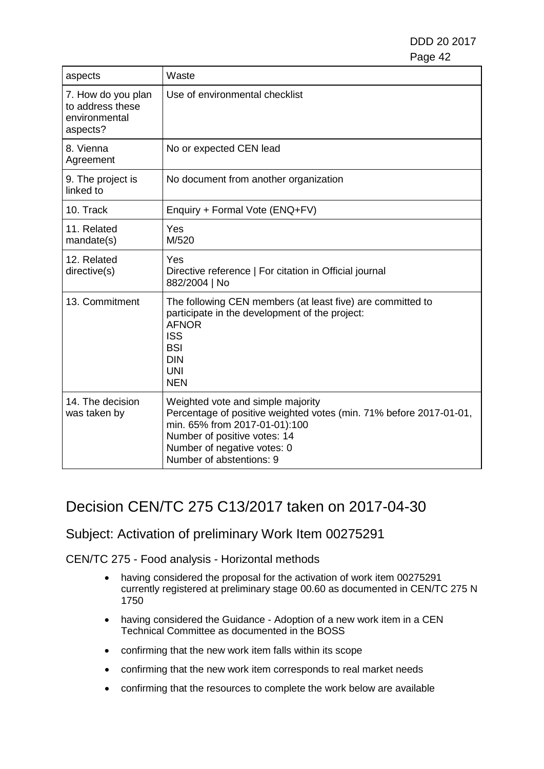| aspects                                                             | Waste                                                                                                                                                                                                                               |
|---------------------------------------------------------------------|-------------------------------------------------------------------------------------------------------------------------------------------------------------------------------------------------------------------------------------|
| 7. How do you plan<br>to address these<br>environmental<br>aspects? | Use of environmental checklist                                                                                                                                                                                                      |
| 8. Vienna<br>Agreement                                              | No or expected CEN lead                                                                                                                                                                                                             |
| 9. The project is<br>linked to                                      | No document from another organization                                                                                                                                                                                               |
| 10. Track                                                           | Enquiry + Formal Vote (ENQ+FV)                                                                                                                                                                                                      |
| 11. Related<br>mandate(s)                                           | Yes<br>M/520                                                                                                                                                                                                                        |
| 12. Related<br>directive(s)                                         | Yes<br>Directive reference   For citation in Official journal<br>882/2004   No                                                                                                                                                      |
| 13. Commitment                                                      | The following CEN members (at least five) are committed to<br>participate in the development of the project:<br><b>AFNOR</b><br><b>ISS</b><br><b>BSI</b><br><b>DIN</b><br><b>UNI</b><br><b>NEN</b>                                  |
| 14. The decision<br>was taken by                                    | Weighted vote and simple majority<br>Percentage of positive weighted votes (min. 71% before 2017-01-01,<br>min. 65% from 2017-01-01):100<br>Number of positive votes: 14<br>Number of negative votes: 0<br>Number of abstentions: 9 |

## Decision CEN/TC 275 C13/2017 taken on 2017-04-30

#### Subject: Activation of preliminary Work Item 00275291

- having considered the proposal for the activation of work item 00275291 currently registered at preliminary stage 00.60 as documented in CEN/TC 275 N 1750
- having considered the Guidance Adoption of a new work item in a CEN Technical Committee as documented in the BOSS
- confirming that the new work item falls within its scope
- confirming that the new work item corresponds to real market needs
- confirming that the resources to complete the work below are available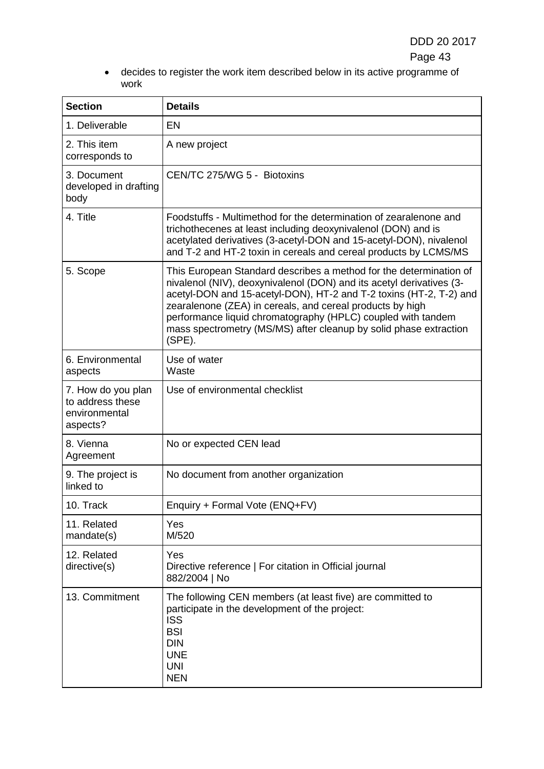• decides to register the work item described below in its active programme of work

| <b>Section</b>                                                      | <b>Details</b>                                                                                                                                                                                                                                                                                                                                                                                                                  |
|---------------------------------------------------------------------|---------------------------------------------------------------------------------------------------------------------------------------------------------------------------------------------------------------------------------------------------------------------------------------------------------------------------------------------------------------------------------------------------------------------------------|
| 1. Deliverable                                                      | EN                                                                                                                                                                                                                                                                                                                                                                                                                              |
| 2. This item<br>corresponds to                                      | A new project                                                                                                                                                                                                                                                                                                                                                                                                                   |
| 3. Document<br>developed in drafting<br>body                        | CEN/TC 275/WG 5 - Biotoxins                                                                                                                                                                                                                                                                                                                                                                                                     |
| 4. Title                                                            | Foodstuffs - Multimethod for the determination of zearalenone and<br>trichothecenes at least including deoxynivalenol (DON) and is<br>acetylated derivatives (3-acetyl-DON and 15-acetyl-DON), nivalenol<br>and T-2 and HT-2 toxin in cereals and cereal products by LCMS/MS                                                                                                                                                    |
| 5. Scope                                                            | This European Standard describes a method for the determination of<br>nivalenol (NIV), deoxynivalenol (DON) and its acetyl derivatives (3-<br>acetyl-DON and 15-acetyl-DON), HT-2 and T-2 toxins (HT-2, T-2) and<br>zearalenone (ZEA) in cereals, and cereal products by high<br>performance liquid chromatography (HPLC) coupled with tandem<br>mass spectrometry (MS/MS) after cleanup by solid phase extraction<br>$(SPE)$ . |
| 6. Environmental<br>aspects                                         | Use of water<br>Waste                                                                                                                                                                                                                                                                                                                                                                                                           |
| 7. How do you plan<br>to address these<br>environmental<br>aspects? | Use of environmental checklist                                                                                                                                                                                                                                                                                                                                                                                                  |
| 8. Vienna<br>Agreement                                              | No or expected CEN lead                                                                                                                                                                                                                                                                                                                                                                                                         |
| 9. The project is<br>linked to                                      | No document from another organization                                                                                                                                                                                                                                                                                                                                                                                           |
| 10. Track                                                           | Enquiry + Formal Vote (ENQ+FV)                                                                                                                                                                                                                                                                                                                                                                                                  |
| 11. Related<br>mandate(s)                                           | Yes<br>M/520                                                                                                                                                                                                                                                                                                                                                                                                                    |
| 12. Related<br>directive(s)                                         | Yes<br>Directive reference   For citation in Official journal<br>882/2004   No                                                                                                                                                                                                                                                                                                                                                  |
| 13. Commitment                                                      | The following CEN members (at least five) are committed to<br>participate in the development of the project:<br><b>ISS</b><br><b>BSI</b><br><b>DIN</b><br><b>UNE</b><br><b>UNI</b><br><b>NEN</b>                                                                                                                                                                                                                                |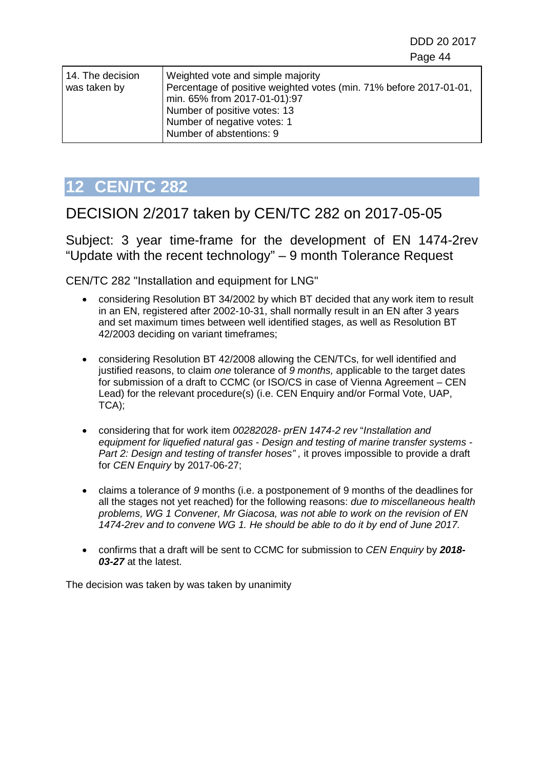| 14. The decision | Weighted vote and simple majority                                  |
|------------------|--------------------------------------------------------------------|
| was taken by     | Percentage of positive weighted votes (min. 71% before 2017-01-01, |
|                  | min. 65% from 2017-01-01):97                                       |
|                  | Number of positive votes: 13                                       |
|                  | Number of negative votes: 1                                        |
|                  | Number of abstentions: 9                                           |

# <span id="page-43-0"></span>**12 CEN/TC 282**

# DECISION 2/2017 taken by CEN/TC 282 on 2017-05-05

Subject: 3 year time-frame for the development of EN 1474-2rev "Update with the recent technology" – 9 month Tolerance Request

CEN/TC 282 "Installation and equipment for LNG"

- considering Resolution BT 34/2002 by which BT decided that any work item to result in an EN, registered after 2002-10-31, shall normally result in an EN after 3 years and set maximum times between well identified stages, as well as Resolution BT 42/2003 deciding on variant timeframes;
- considering Resolution BT 42/2008 allowing the CEN/TCs, for well identified and justified reasons, to claim *one* tolerance of *9 months,* applicable to the target dates for submission of a draft to CCMC (or ISO/CS in case of Vienna Agreement – CEN Lead) for the relevant procedure(s) (i.e. CEN Enquiry and/or Formal Vote, UAP, TCA);
- considering that for work item *00282028- prEN 1474-2 rev* "*Installation and equipment for liquefied natural gas - Design and testing of marine transfer systems - Part 2: Design and testing of transfer hoses", it proves impossible to provide a draft* for *CEN Enquiry* by 2017-06-27;
- claims a tolerance of *9* months (i.e. a postponement of 9 months of the deadlines for all the stages not yet reached) for the following reasons: *due to miscellaneous health problems, WG 1 Convener, Mr Giacosa, was not able to work on the revision of EN 1474-2rev and to convene WG 1. He should be able to do it by end of June 2017.*
- confirms that a draft will be sent to CCMC for submission to *CEN Enquiry* by *2018- 03-27* at the latest.

The decision was taken by was taken by unanimity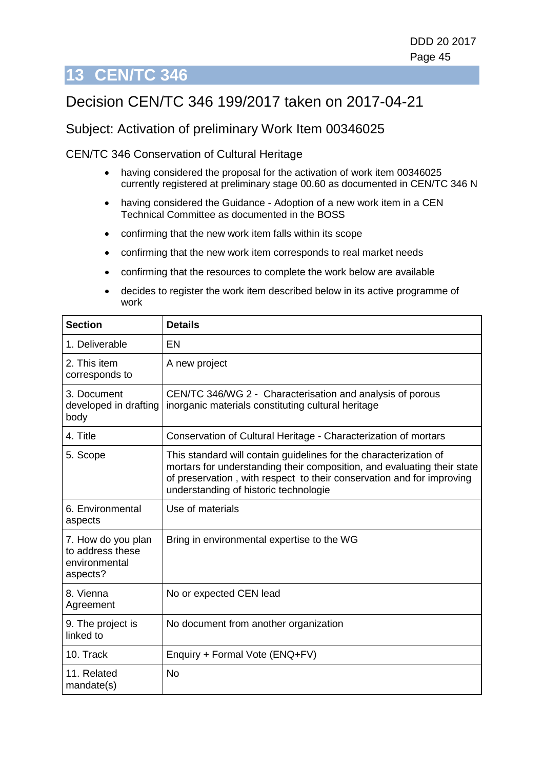# <span id="page-44-0"></span>**13 CEN/TC 346**

# Decision CEN/TC 346 199/2017 taken on 2017-04-21

#### Subject: Activation of preliminary Work Item 00346025

CEN/TC 346 Conservation of Cultural Heritage

- having considered the proposal for the activation of work item 00346025 currently registered at preliminary stage 00.60 as documented in CEN/TC 346 N
- having considered the Guidance Adoption of a new work item in a CEN Technical Committee as documented in the BOSS
- confirming that the new work item falls within its scope
- confirming that the new work item corresponds to real market needs
- confirming that the resources to complete the work below are available
- decides to register the work item described below in its active programme of work

| <b>Section</b>                                                      | <b>Details</b>                                                                                                                                                                                                                                                 |
|---------------------------------------------------------------------|----------------------------------------------------------------------------------------------------------------------------------------------------------------------------------------------------------------------------------------------------------------|
| 1. Deliverable                                                      | EN                                                                                                                                                                                                                                                             |
| 2. This item<br>corresponds to                                      | A new project                                                                                                                                                                                                                                                  |
| 3. Document<br>developed in drafting<br>body                        | CEN/TC 346/WG 2 - Characterisation and analysis of porous<br>inorganic materials constituting cultural heritage                                                                                                                                                |
| 4. Title                                                            | Conservation of Cultural Heritage - Characterization of mortars                                                                                                                                                                                                |
| 5. Scope                                                            | This standard will contain guidelines for the characterization of<br>mortars for understanding their composition, and evaluating their state<br>of preservation, with respect to their conservation and for improving<br>understanding of historic technologie |
| 6. Environmental<br>aspects                                         | Use of materials                                                                                                                                                                                                                                               |
| 7. How do you plan<br>to address these<br>environmental<br>aspects? | Bring in environmental expertise to the WG                                                                                                                                                                                                                     |
| 8. Vienna<br>Agreement                                              | No or expected CEN lead                                                                                                                                                                                                                                        |
| 9. The project is<br>linked to                                      | No document from another organization                                                                                                                                                                                                                          |
| 10. Track                                                           | Enquiry + Formal Vote (ENQ+FV)                                                                                                                                                                                                                                 |
| 11. Related<br>mandate(s)                                           | No                                                                                                                                                                                                                                                             |